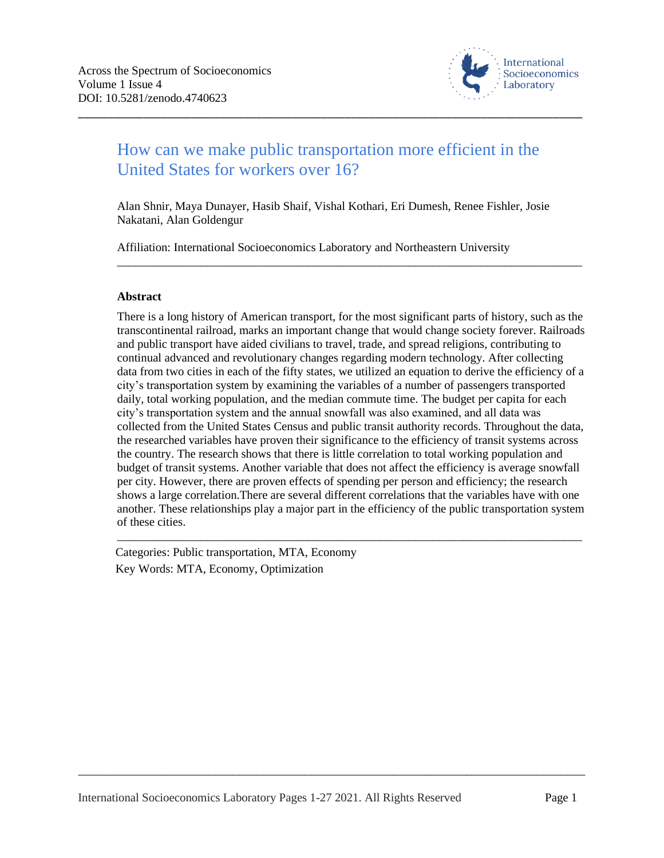

# How can we make public transportation more efficient in the United States for workers over 16?

\_\_\_\_\_\_\_\_\_\_\_\_\_\_\_\_\_\_\_\_\_\_\_\_\_\_\_\_\_\_\_\_\_\_\_\_\_\_\_\_\_\_\_\_\_\_\_\_\_\_\_\_\_\_\_\_\_\_\_\_\_\_\_\_\_\_\_\_\_\_\_\_\_\_\_\_\_\_\_\_\_\_\_\_\_

Alan Shnir, Maya Dunayer, Hasib Shaif, Vishal Kothari, Eri Dumesh, Renee Fishler, Josie Nakatani, Alan Goldengur

\_\_\_\_\_\_\_\_\_\_\_\_\_\_\_\_\_\_\_\_\_\_\_\_\_\_\_\_\_\_\_\_\_\_\_\_\_\_\_\_\_\_\_\_\_\_\_\_\_\_\_\_\_\_\_\_\_\_\_\_\_\_\_\_\_\_\_\_\_\_\_\_\_\_\_\_\_\_

Affiliation: International Socioeconomics Laboratory and Northeastern University

## **Abstract**

There is a long history of American transport, for the most significant parts of history, such as the transcontinental railroad, marks an important change that would change society forever. Railroads and public transport have aided civilians to travel, trade, and spread religions, contributing to continual advanced and revolutionary changes regarding modern technology. After collecting data from two cities in each of the fifty states, we utilized an equation to derive the efficiency of a city's transportation system by examining the variables of a number of passengers transported daily, total working population, and the median commute time. The budget per capita for each city's transportation system and the annual snowfall was also examined, and all data was collected from the United States Census and public transit authority records. Throughout the data, the researched variables have proven their significance to the efficiency of transit systems across the country. The research shows that there is little correlation to total working population and budget of transit systems. Another variable that does not affect the efficiency is average snowfall per city. However, there are proven effects of spending per person and efficiency; the research shows a large correlation.There are several different correlations that the variables have with one another. These relationships play a major part in the efficiency of the public transportation system of these cities.

\_\_\_\_\_\_\_\_\_\_\_\_\_\_\_\_\_\_\_\_\_\_\_\_\_\_\_\_\_\_\_\_\_\_\_\_\_\_\_\_\_\_\_\_\_\_\_\_\_\_\_\_\_\_\_\_\_\_\_\_\_\_\_\_\_\_\_\_\_\_\_\_\_\_\_\_\_\_

Categories: Public transportation, MTA, Economy Key Words: MTA, Economy, Optimization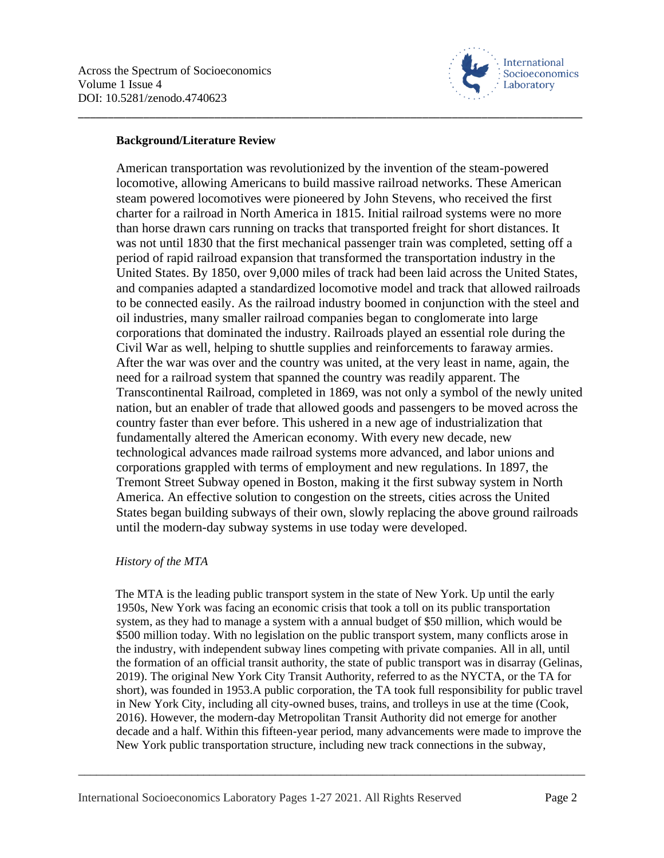

## **Background/Literature Review**

American transportation was revolutionized by the invention of the steam-powered locomotive, allowing Americans to build massive railroad networks. These American steam powered locomotives were pioneered by John Stevens, who received the first charter for a railroad in North America in 1815. Initial railroad systems were no more than horse drawn cars running on tracks that transported freight for short distances. It was not until 1830 that the first mechanical passenger train was completed, setting off a period of rapid railroad expansion that transformed the transportation industry in the United States. By 1850, over 9,000 miles of track had been laid across the United States, and companies adapted a standardized locomotive model and track that allowed railroads to be connected easily. As the railroad industry boomed in conjunction with the steel and oil industries, many smaller railroad companies began to conglomerate into large corporations that dominated the industry. Railroads played an essential role during the Civil War as well, helping to shuttle supplies and reinforcements to faraway armies. After the war was over and the country was united, at the very least in name, again, the need for a railroad system that spanned the country was readily apparent. The Transcontinental Railroad, completed in 1869, was not only a symbol of the newly united nation, but an enabler of trade that allowed goods and passengers to be moved across the country faster than ever before. This ushered in a new age of industrialization that fundamentally altered the American economy. With every new decade, new technological advances made railroad systems more advanced, and labor unions and corporations grappled with terms of employment and new regulations. In 1897, the Tremont Street Subway opened in Boston, making it the first subway system in North America. An effective solution to congestion on the streets, cities across the United States began building subways of their own, slowly replacing the above ground railroads until the modern-day subway systems in use today were developed.

\_\_\_\_\_\_\_\_\_\_\_\_\_\_\_\_\_\_\_\_\_\_\_\_\_\_\_\_\_\_\_\_\_\_\_\_\_\_\_\_\_\_\_\_\_\_\_\_\_\_\_\_\_\_\_\_\_\_\_\_\_\_\_\_\_\_\_\_\_\_\_\_\_\_\_\_\_\_\_\_\_\_\_\_\_

## *History of the MTA*

The MTA is the leading public transport system in the state of New York. Up until the early 1950s, New York was facing an economic crisis that took a toll on its public transportation system, as they had to manage a system with a annual budget of \$50 million, which would be \$500 million today. With no legislation on the public transport system, many conflicts arose in the industry, with independent subway lines competing with private companies. All in all, until the formation of an official transit authority, the state of public transport was in disarray (Gelinas, 2019). The original New York City Transit Authority, referred to as the NYCTA, or the TA for short), was founded in 1953.A public corporation, the TA took full responsibility for public travel in New York City, including all city-owned buses, trains, and trolleys in use at the time (Cook, 2016). However, the modern-day Metropolitan Transit Authority did not emerge for another decade and a half. Within this fifteen-year period, many advancements were made to improve the New York public transportation structure, including new track connections in the subway,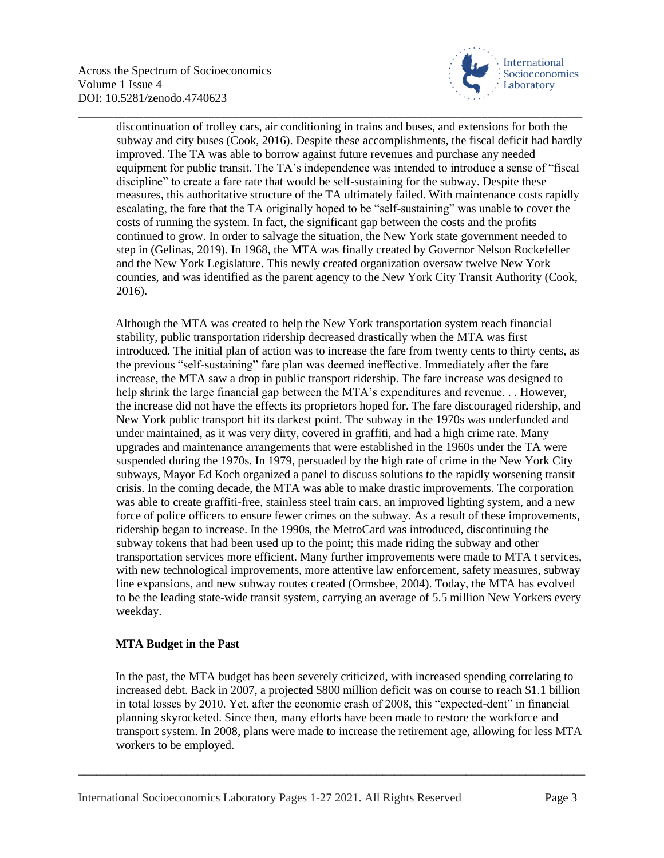

discontinuation of trolley cars, air conditioning in trains and buses, and extensions for both the subway and city buses (Cook, 2016). Despite these accomplishments, the fiscal deficit had hardly improved. The TA was able to borrow against future revenues and purchase any needed equipment for public transit. The TA's independence was intended to introduce a sense of "fiscal discipline" to create a fare rate that would be self-sustaining for the subway. Despite these measures, this authoritative structure of the TA ultimately failed. With maintenance costs rapidly escalating, the fare that the TA originally hoped to be "self-sustaining" was unable to cover the costs of running the system. In fact, the significant gap between the costs and the profits continued to grow. In order to salvage the situation, the New York state government needed to step in (Gelinas, 2019). In 1968, the MTA was finally created by Governor Nelson Rockefeller and the New York Legislature. This newly created organization oversaw twelve New York counties, and was identified as the parent agency to the New York City Transit Authority (Cook, 2016).

\_\_\_\_\_\_\_\_\_\_\_\_\_\_\_\_\_\_\_\_\_\_\_\_\_\_\_\_\_\_\_\_\_\_\_\_\_\_\_\_\_\_\_\_\_\_\_\_\_\_\_\_\_\_\_\_\_\_\_\_\_\_\_\_\_\_\_\_\_\_\_\_\_\_\_\_\_\_\_\_\_\_\_\_\_

Although the MTA was created to help the New York transportation system reach financial stability, public transportation ridership decreased drastically when the MTA was first introduced. The initial plan of action was to increase the fare from twenty cents to thirty cents, as the previous "self-sustaining" fare plan was deemed ineffective. Immediately after the fare increase, the MTA saw a drop in public transport ridership. The fare increase was designed to help shrink the large financial gap between the MTA's expenditures and revenue... However, the increase did not have the effects its proprietors hoped for. The fare discouraged ridership, and New York public transport hit its darkest point. The subway in the 1970s was underfunded and under maintained, as it was very dirty, covered in graffiti, and had a high crime rate. Many upgrades and maintenance arrangements that were established in the 1960s under the TA were suspended during the 1970s. In 1979, persuaded by the high rate of crime in the New York City subways, Mayor Ed Koch organized a panel to discuss solutions to the rapidly worsening transit crisis. In the coming decade, the MTA was able to make drastic improvements. The corporation was able to create graffiti-free, stainless steel train cars, an improved lighting system, and a new force of police officers to ensure fewer crimes on the subway. As a result of these improvements, ridership began to increase. In the 1990s, the MetroCard was introduced, discontinuing the subway tokens that had been used up to the point; this made riding the subway and other transportation services more efficient. Many further improvements were made to MTA t services, with new technological improvements, more attentive law enforcement, safety measures, subway line expansions, and new subway routes created (Ormsbee, 2004). Today, the MTA has evolved to be the leading state-wide transit system, carrying an average of 5.5 million New Yorkers every weekday.

## **MTA Budget in the Past**

In the past, the MTA budget has been severely criticized, with increased spending correlating to increased debt. Back in 2007, a projected \$800 million deficit was on course to reach \$1.1 billion in total losses by 2010. Yet, after the economic crash of 2008, this "expected-dent" in financial planning skyrocketed. Since then, many efforts have been made to restore the workforce and transport system. In 2008, plans were made to increase the retirement age, allowing for less MTA workers to be employed.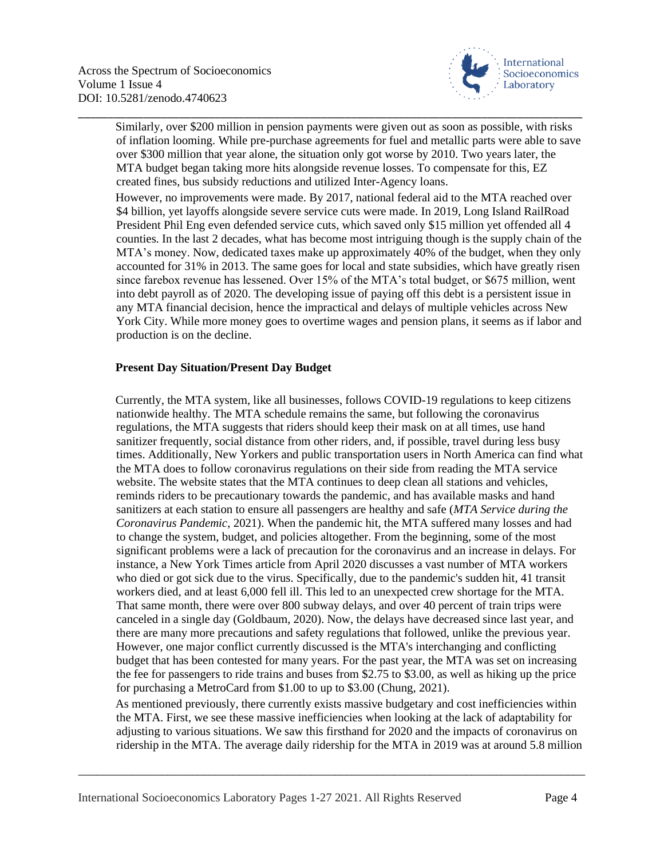

Similarly, over \$200 million in pension payments were given out as soon as possible, with risks of inflation looming. While pre-purchase agreements for fuel and metallic parts were able to save over \$300 million that year alone, the situation only got worse by 2010. Two years later, the MTA budget began taking more hits alongside revenue losses. To compensate for this, EZ created fines, bus subsidy reductions and utilized Inter-Agency loans.

\_\_\_\_\_\_\_\_\_\_\_\_\_\_\_\_\_\_\_\_\_\_\_\_\_\_\_\_\_\_\_\_\_\_\_\_\_\_\_\_\_\_\_\_\_\_\_\_\_\_\_\_\_\_\_\_\_\_\_\_\_\_\_\_\_\_\_\_\_\_\_\_\_\_\_\_\_\_\_\_\_\_\_\_\_

However, no improvements were made. By 2017, national federal aid to the MTA reached over \$4 billion, yet layoffs alongside severe service cuts were made. In 2019, Long Island RailRoad President Phil Eng even defended service cuts, which saved only \$15 million yet offended all 4 counties. In the last 2 decades, what has become most intriguing though is the supply chain of the MTA's money. Now, dedicated taxes make up approximately 40% of the budget, when they only accounted for 31% in 2013. The same goes for local and state subsidies, which have greatly risen since farebox revenue has lessened. Over 15% of the MTA's total budget, or \$675 million, went into debt payroll as of 2020. The developing issue of paying off this debt is a persistent issue in any MTA financial decision, hence the impractical and delays of multiple vehicles across New York City. While more money goes to overtime wages and pension plans, it seems as if labor and production is on the decline.

## **Present Day Situation/Present Day Budget**

Currently, the MTA system, like all businesses, follows COVID-19 regulations to keep citizens nationwide healthy. The MTA schedule remains the same, but following the coronavirus regulations, the MTA suggests that riders should keep their mask on at all times, use hand sanitizer frequently, social distance from other riders, and, if possible, travel during less busy times. Additionally, New Yorkers and public transportation users in North America can find what the MTA does to follow coronavirus regulations on their side from reading the MTA service website. The website states that the MTA continues to deep clean all stations and vehicles, reminds riders to be precautionary towards the pandemic, and has available masks and hand sanitizers at each station to ensure all passengers are healthy and safe (*MTA Service during the Coronavirus Pandemic*, 2021). When the pandemic hit, the MTA suffered many losses and had to change the system, budget, and policies altogether. From the beginning, some of the most significant problems were a lack of precaution for the coronavirus and an increase in delays. For instance, a New York Times article from April 2020 discusses a vast number of MTA workers who died or got sick due to the virus. Specifically, due to the pandemic's sudden hit, 41 transit workers died, and at least 6,000 fell ill. This led to an unexpected crew shortage for the MTA. That same month, there were over 800 subway delays, and over 40 percent of train trips were canceled in a single day (Goldbaum, 2020). Now, the delays have decreased since last year, and there are many more precautions and safety regulations that followed, unlike the previous year. However, one major conflict currently discussed is the MTA's interchanging and conflicting budget that has been contested for many years. For the past year, the MTA was set on increasing the fee for passengers to ride trains and buses from \$2.75 to \$3.00, as well as hiking up the price for purchasing a MetroCard from \$1.00 to up to \$3.00 (Chung, 2021).

As mentioned previously, there currently exists massive budgetary and cost inefficiencies within the MTA. First, we see these massive inefficiencies when looking at the lack of adaptability for adjusting to various situations. We saw this firsthand for 2020 and the impacts of coronavirus on ridership in the MTA. The average daily ridership for the MTA in 2019 was at around 5.8 million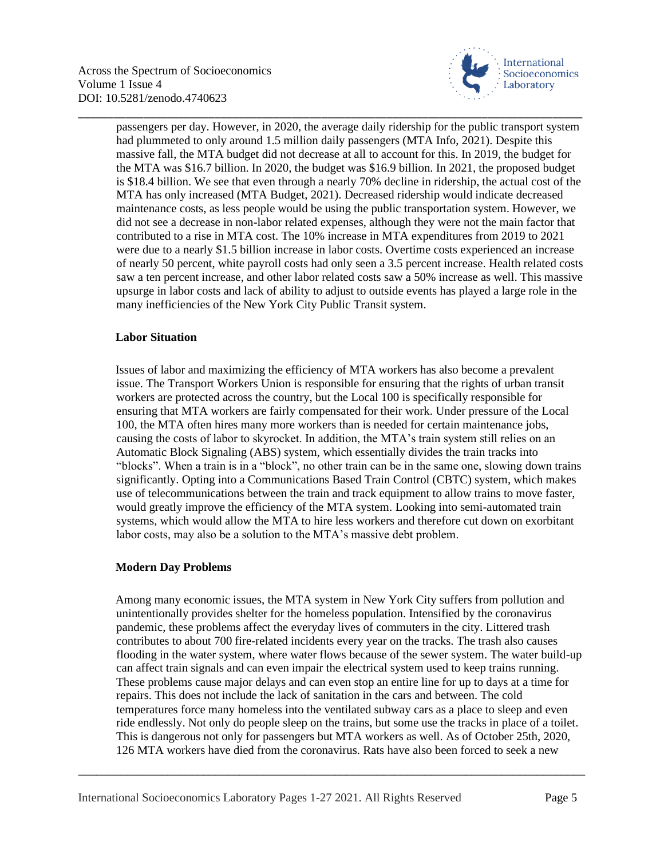

passengers per day. However, in 2020, the average daily ridership for the public transport system had plummeted to only around 1.5 million daily passengers (MTA Info, 2021). Despite this massive fall, the MTA budget did not decrease at all to account for this. In 2019, the budget for the MTA was \$16.7 billion. In 2020, the budget was \$16.9 billion. In 2021, the proposed budget is \$18.4 billion. We see that even through a nearly 70% decline in ridership, the actual cost of the MTA has only increased (MTA Budget, 2021). Decreased ridership would indicate decreased maintenance costs, as less people would be using the public transportation system. However, we did not see a decrease in non-labor related expenses, although they were not the main factor that contributed to a rise in MTA cost. The 10% increase in MTA expenditures from 2019 to 2021 were due to a nearly \$1.5 billion increase in labor costs. Overtime costs experienced an increase of nearly 50 percent, white payroll costs had only seen a 3.5 percent increase. Health related costs saw a ten percent increase, and other labor related costs saw a 50% increase as well. This massive upsurge in labor costs and lack of ability to adjust to outside events has played a large role in the many inefficiencies of the New York City Public Transit system.

\_\_\_\_\_\_\_\_\_\_\_\_\_\_\_\_\_\_\_\_\_\_\_\_\_\_\_\_\_\_\_\_\_\_\_\_\_\_\_\_\_\_\_\_\_\_\_\_\_\_\_\_\_\_\_\_\_\_\_\_\_\_\_\_\_\_\_\_\_\_\_\_\_\_\_\_\_\_\_\_\_\_\_\_\_

## **Labor Situation**

Issues of labor and maximizing the efficiency of MTA workers has also become a prevalent issue. The Transport Workers Union is responsible for ensuring that the rights of urban transit workers are protected across the country, but the Local 100 is specifically responsible for ensuring that MTA workers are fairly compensated for their work. Under pressure of the Local 100, the MTA often hires many more workers than is needed for certain maintenance jobs, causing the costs of labor to skyrocket. In addition, the MTA's train system still relies on an Automatic Block Signaling (ABS) system, which essentially divides the train tracks into "blocks". When a train is in a "block", no other train can be in the same one, slowing down trains significantly. Opting into a Communications Based Train Control (CBTC) system, which makes use of telecommunications between the train and track equipment to allow trains to move faster, would greatly improve the efficiency of the MTA system. Looking into semi-automated train systems, which would allow the MTA to hire less workers and therefore cut down on exorbitant labor costs, may also be a solution to the MTA's massive debt problem.

## **Modern Day Problems**

Among many economic issues, the MTA system in New York City suffers from pollution and unintentionally provides shelter for the homeless population. Intensified by the coronavirus pandemic, these problems affect the everyday lives of commuters in the city. Littered trash contributes to about 700 fire-related incidents every year on the tracks. The trash also causes flooding in the water system, where water flows because of the sewer system. The water build-up can affect train signals and can even impair the electrical system used to keep trains running. These problems cause major delays and can even stop an entire line for up to days at a time for repairs. This does not include the lack of sanitation in the cars and between. The cold temperatures force many homeless into the ventilated subway cars as a place to sleep and even ride endlessly. Not only do people sleep on the trains, but some use the tracks in place of a toilet. This is dangerous not only for passengers but MTA workers as well. As of October 25th, 2020, 126 MTA workers have died from the coronavirus. Rats have also been forced to seek a new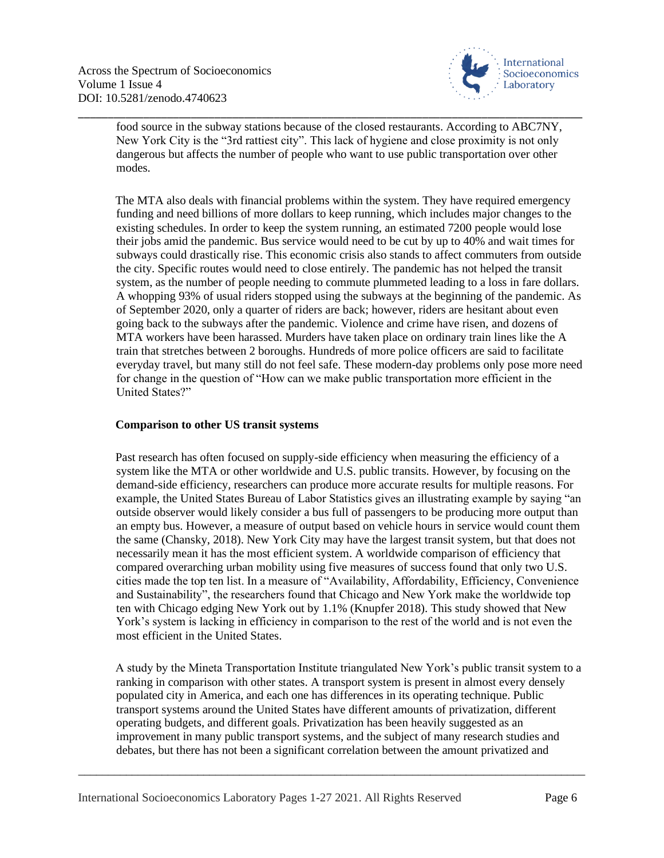

food source in the subway stations because of the closed restaurants. According to ABC7NY, New York City is the "3rd rattiest city". This lack of hygiene and close proximity is not only dangerous but affects the number of people who want to use public transportation over other modes.

\_\_\_\_\_\_\_\_\_\_\_\_\_\_\_\_\_\_\_\_\_\_\_\_\_\_\_\_\_\_\_\_\_\_\_\_\_\_\_\_\_\_\_\_\_\_\_\_\_\_\_\_\_\_\_\_\_\_\_\_\_\_\_\_\_\_\_\_\_\_\_\_\_\_\_\_\_\_\_\_\_\_\_\_\_

The MTA also deals with financial problems within the system. They have required emergency funding and need billions of more dollars to keep running, which includes major changes to the existing schedules. In order to keep the system running, an estimated 7200 people would lose their jobs amid the pandemic. Bus service would need to be cut by up to 40% and wait times for subways could drastically rise. This economic crisis also stands to affect commuters from outside the city. Specific routes would need to close entirely. The pandemic has not helped the transit system, as the number of people needing to commute plummeted leading to a loss in fare dollars. A whopping 93% of usual riders stopped using the subways at the beginning of the pandemic. As of September 2020, only a quarter of riders are back; however, riders are hesitant about even going back to the subways after the pandemic. Violence and crime have risen, and dozens of MTA workers have been harassed. Murders have taken place on ordinary train lines like the A train that stretches between 2 boroughs. Hundreds of more police officers are said to facilitate everyday travel, but many still do not feel safe. These modern-day problems only pose more need for change in the question of "How can we make public transportation more efficient in the United States?"

## **Comparison to other US transit systems**

Past research has often focused on supply-side efficiency when measuring the efficiency of a system like the MTA or other worldwide and U.S. public transits. However, by focusing on the demand-side efficiency, researchers can produce more accurate results for multiple reasons. For example, the United States Bureau of Labor Statistics gives an illustrating example by saying "an outside observer would likely consider a bus full of passengers to be producing more output than an empty bus. However, a measure of output based on vehicle hours in service would count them the same (Chansky, 2018). New York City may have the largest transit system, but that does not necessarily mean it has the most efficient system. A worldwide comparison of efficiency that compared overarching urban mobility using five measures of success found that only two U.S. cities made the top ten list. In a measure of "Availability, Affordability, Efficiency, Convenience and Sustainability", the researchers found that Chicago and New York make the worldwide top ten with Chicago edging New York out by 1.1% (Knupfer 2018). This study showed that New York's system is lacking in efficiency in comparison to the rest of the world and is not even the most efficient in the United States.

A study by the Mineta Transportation Institute triangulated New York's public transit system to a ranking in comparison with other states. A transport system is present in almost every densely populated city in America, and each one has differences in its operating technique. Public transport systems around the United States have different amounts of privatization, different operating budgets, and different goals. Privatization has been heavily suggested as an improvement in many public transport systems, and the subject of many research studies and debates, but there has not been a significant correlation between the amount privatized and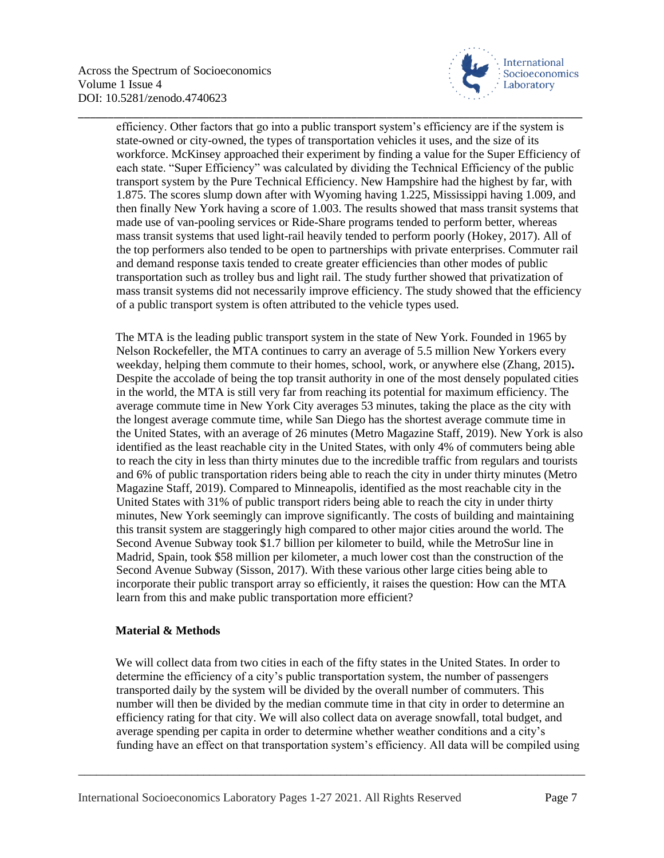

efficiency. Other factors that go into a public transport system's efficiency are if the system is state-owned or city-owned, the types of transportation vehicles it uses, and the size of its workforce. McKinsey approached their experiment by finding a value for the Super Efficiency of each state. "Super Efficiency" was calculated by dividing the Technical Efficiency of the public transport system by the Pure Technical Efficiency. New Hampshire had the highest by far, with 1.875. The scores slump down after with Wyoming having 1.225, Mississippi having 1.009, and then finally New York having a score of 1.003. The results showed that mass transit systems that made use of van-pooling services or Ride-Share programs tended to perform better, whereas mass transit systems that used light-rail heavily tended to perform poorly (Hokey, 2017). All of the top performers also tended to be open to partnerships with private enterprises. Commuter rail and demand response taxis tended to create greater efficiencies than other modes of public transportation such as trolley bus and light rail. The study further showed that privatization of mass transit systems did not necessarily improve efficiency. The study showed that the efficiency of a public transport system is often attributed to the vehicle types used.

\_\_\_\_\_\_\_\_\_\_\_\_\_\_\_\_\_\_\_\_\_\_\_\_\_\_\_\_\_\_\_\_\_\_\_\_\_\_\_\_\_\_\_\_\_\_\_\_\_\_\_\_\_\_\_\_\_\_\_\_\_\_\_\_\_\_\_\_\_\_\_\_\_\_\_\_\_\_\_\_\_\_\_\_\_

The MTA is the leading public transport system in the state of New York. Founded in 1965 by Nelson Rockefeller, the MTA continues to carry an average of 5.5 million New Yorkers every weekday, helping them commute to their homes, school, work, or anywhere else (Zhang, 2015)**.**  Despite the accolade of being the top transit authority in one of the most densely populated cities in the world, the MTA is still very far from reaching its potential for maximum efficiency. The average commute time in New York City averages 53 minutes, taking the place as the city with the longest average commute time, while San Diego has the shortest average commute time in the United States, with an average of 26 minutes (Metro Magazine Staff, 2019). New York is also identified as the least reachable city in the United States, with only 4% of commuters being able to reach the city in less than thirty minutes due to the incredible traffic from regulars and tourists and 6% of public transportation riders being able to reach the city in under thirty minutes (Metro Magazine Staff, 2019). Compared to Minneapolis, identified as the most reachable city in the United States with 31% of public transport riders being able to reach the city in under thirty minutes, New York seemingly can improve significantly. The costs of building and maintaining this transit system are staggeringly high compared to other major cities around the world. The Second Avenue Subway took \$1.7 billion per kilometer to build, while the MetroSur line in Madrid, Spain, took \$58 million per kilometer, a much lower cost than the construction of the Second Avenue Subway (Sisson, 2017). With these various other large cities being able to incorporate their public transport array so efficiently, it raises the question: How can the MTA learn from this and make public transportation more efficient?

## **Material & Methods**

We will collect data from two cities in each of the fifty states in the United States. In order to determine the efficiency of a city's public transportation system, the number of passengers transported daily by the system will be divided by the overall number of commuters. This number will then be divided by the median commute time in that city in order to determine an efficiency rating for that city. We will also collect data on average snowfall, total budget, and average spending per capita in order to determine whether weather conditions and a city's funding have an effect on that transportation system's efficiency. All data will be compiled using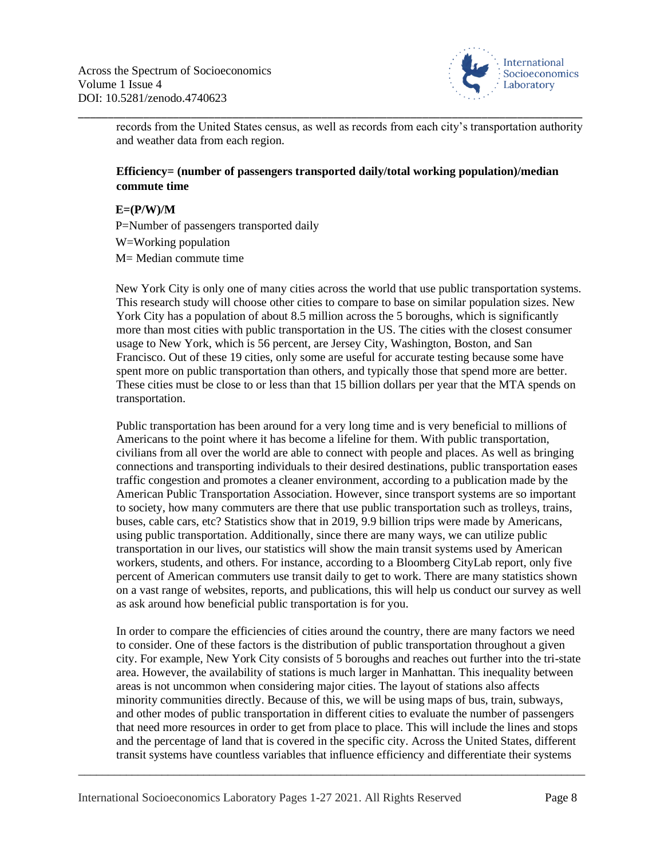

records from the United States census, as well as records from each city's transportation authority and weather data from each region.

## **Efficiency= (number of passengers transported daily/total working population)/median commute time**

\_\_\_\_\_\_\_\_\_\_\_\_\_\_\_\_\_\_\_\_\_\_\_\_\_\_\_\_\_\_\_\_\_\_\_\_\_\_\_\_\_\_\_\_\_\_\_\_\_\_\_\_\_\_\_\_\_\_\_\_\_\_\_\_\_\_\_\_\_\_\_\_\_\_\_\_\_\_\_\_\_\_\_\_\_

**E=(P/W)/M** P=Number of passengers transported daily W=Working population M= Median commute time

New York City is only one of many cities across the world that use public transportation systems. This research study will choose other cities to compare to base on similar population sizes. New York City has a population of about 8.5 million across the 5 boroughs, which is significantly more than most cities with public transportation in the US. The cities with the closest consumer usage to New York, which is 56 percent, are Jersey City, Washington, Boston, and San Francisco. Out of these 19 cities, only some are useful for accurate testing because some have spent more on public transportation than others, and typically those that spend more are better. These cities must be close to or less than that 15 billion dollars per year that the MTA spends on transportation.

Public transportation has been around for a very long time and is very beneficial to millions of Americans to the point where it has become a lifeline for them. With public transportation, civilians from all over the world are able to connect with people and places. As well as bringing connections and transporting individuals to their desired destinations, public transportation eases traffic congestion and promotes a cleaner environment, according to a publication made by the American Public Transportation Association. However, since transport systems are so important to society, how many commuters are there that use public transportation such as trolleys, trains, buses, cable cars, etc? Statistics show that in 2019, 9.9 billion trips were made by Americans, using public transportation. Additionally, since there are many ways, we can utilize public transportation in our lives, our statistics will show the main transit systems used by American workers, students, and others. For instance, according to a Bloomberg CityLab report, only five percent of American commuters use transit daily to get to work. There are many statistics shown on a vast range of websites, reports, and publications, this will help us conduct our survey as well as ask around how beneficial public transportation is for you.

In order to compare the efficiencies of cities around the country, there are many factors we need to consider. One of these factors is the distribution of public transportation throughout a given city. For example, New York City consists of 5 boroughs and reaches out further into the tri-state area. However, the availability of stations is much larger in Manhattan. This inequality between areas is not uncommon when considering major cities. The layout of stations also affects minority communities directly. Because of this, we will be using maps of bus, train, subways, and other modes of public transportation in different cities to evaluate the number of passengers that need more resources in order to get from place to place. This will include the lines and stops and the percentage of land that is covered in the specific city. Across the United States, different transit systems have countless variables that influence efficiency and differentiate their systems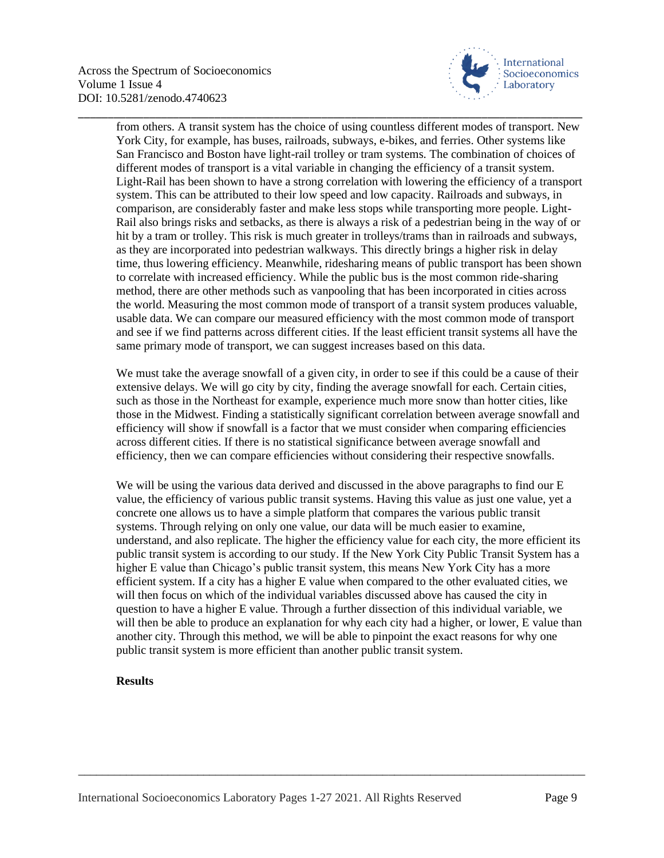

from others. A transit system has the choice of using countless different modes of transport. New York City, for example, has buses, railroads, subways, e-bikes, and ferries. Other systems like San Francisco and Boston have light-rail trolley or tram systems. The combination of choices of different modes of transport is a vital variable in changing the efficiency of a transit system. Light-Rail has been shown to have a strong correlation with lowering the efficiency of a transport system. This can be attributed to their low speed and low capacity. Railroads and subways, in comparison, are considerably faster and make less stops while transporting more people. Light-Rail also brings risks and setbacks, as there is always a risk of a pedestrian being in the way of or hit by a tram or trolley. This risk is much greater in trolleys/trams than in railroads and subways, as they are incorporated into pedestrian walkways. This directly brings a higher risk in delay time, thus lowering efficiency. Meanwhile, ridesharing means of public transport has been shown to correlate with increased efficiency. While the public bus is the most common ride-sharing method, there are other methods such as vanpooling that has been incorporated in cities across the world. Measuring the most common mode of transport of a transit system produces valuable, usable data. We can compare our measured efficiency with the most common mode of transport and see if we find patterns across different cities. If the least efficient transit systems all have the same primary mode of transport, we can suggest increases based on this data.

\_\_\_\_\_\_\_\_\_\_\_\_\_\_\_\_\_\_\_\_\_\_\_\_\_\_\_\_\_\_\_\_\_\_\_\_\_\_\_\_\_\_\_\_\_\_\_\_\_\_\_\_\_\_\_\_\_\_\_\_\_\_\_\_\_\_\_\_\_\_\_\_\_\_\_\_\_\_\_\_\_\_\_\_\_

We must take the average snowfall of a given city, in order to see if this could be a cause of their extensive delays. We will go city by city, finding the average snowfall for each. Certain cities, such as those in the Northeast for example, experience much more snow than hotter cities, like those in the Midwest. Finding a statistically significant correlation between average snowfall and efficiency will show if snowfall is a factor that we must consider when comparing efficiencies across different cities. If there is no statistical significance between average snowfall and efficiency, then we can compare efficiencies without considering their respective snowfalls.

We will be using the various data derived and discussed in the above paragraphs to find our E value, the efficiency of various public transit systems. Having this value as just one value, yet a concrete one allows us to have a simple platform that compares the various public transit systems. Through relying on only one value, our data will be much easier to examine, understand, and also replicate. The higher the efficiency value for each city, the more efficient its public transit system is according to our study. If the New York City Public Transit System has a higher E value than Chicago's public transit system, this means New York City has a more efficient system. If a city has a higher E value when compared to the other evaluated cities, we will then focus on which of the individual variables discussed above has caused the city in question to have a higher E value. Through a further dissection of this individual variable, we will then be able to produce an explanation for why each city had a higher, or lower, E value than another city. Through this method, we will be able to pinpoint the exact reasons for why one public transit system is more efficient than another public transit system.

\_\_\_\_\_\_\_\_\_\_\_\_\_\_\_\_\_\_\_\_\_\_\_\_\_\_\_\_\_\_\_\_\_\_\_\_\_\_\_\_\_\_\_\_\_\_\_\_\_\_\_\_\_\_\_\_\_\_\_\_\_\_\_\_\_\_\_\_\_\_\_\_\_\_\_\_\_\_\_\_\_\_\_\_\_

## **Results**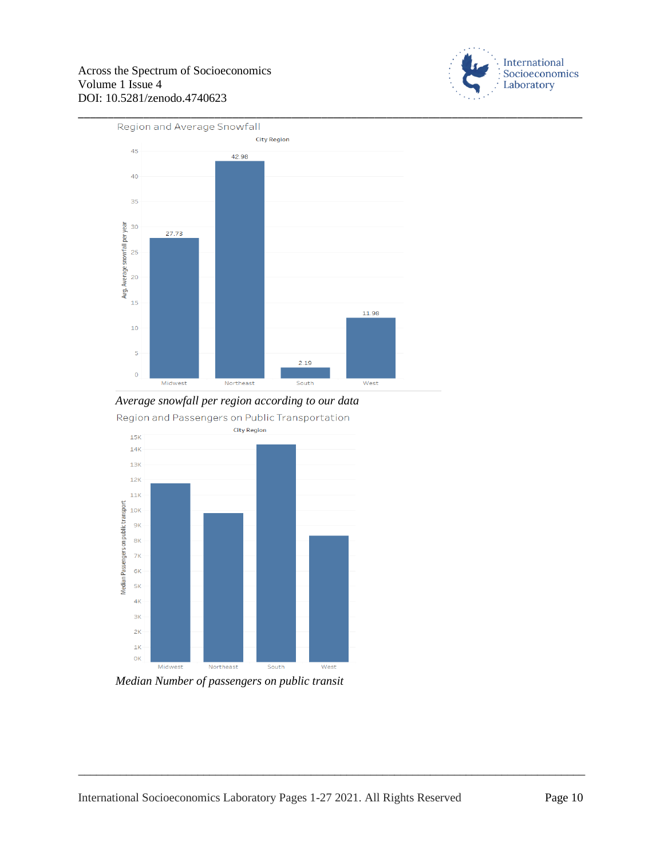



*Average snowfall per region according to our data* Region and Passengers on Public Transportation



*Median Number of passengers on public transit*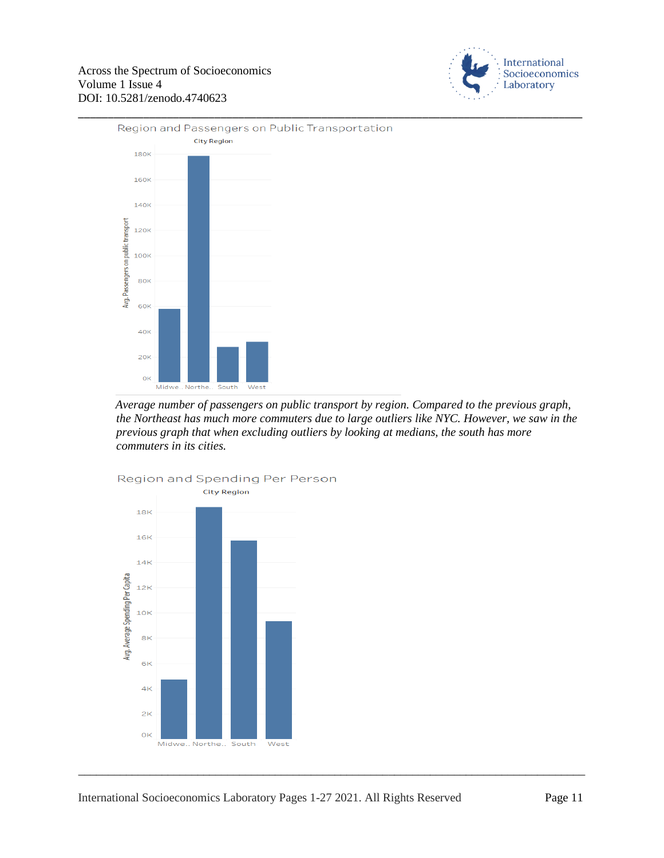



*Average number of passengers on public transport by region. Compared to the previous graph, the Northeast has much more commuters due to large outliers like NYC. However, we saw in the previous graph that when excluding outliers by looking at medians, the south has more commuters in its cities.*



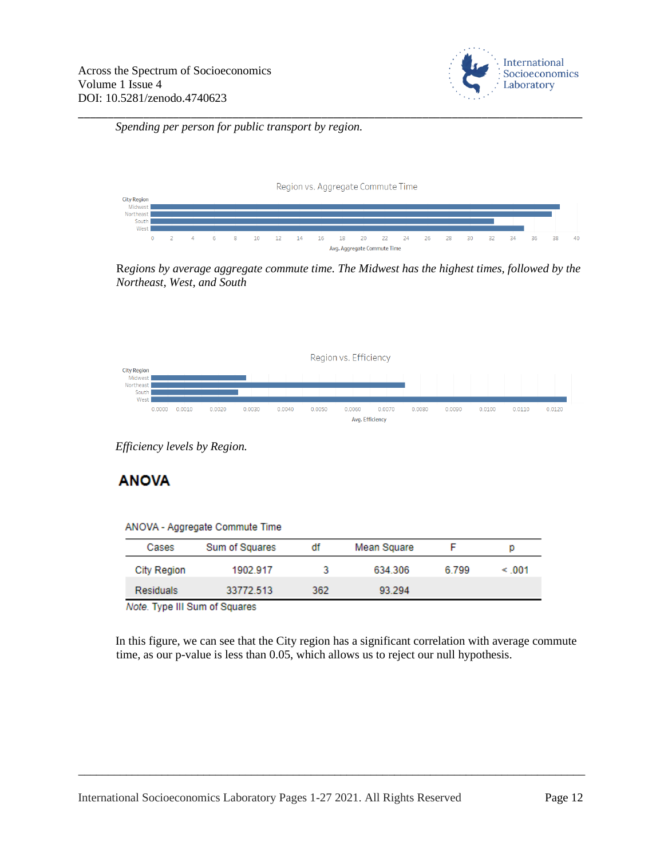

*Spending per person for public transport by region.*



\_\_\_\_\_\_\_\_\_\_\_\_\_\_\_\_\_\_\_\_\_\_\_\_\_\_\_\_\_\_\_\_\_\_\_\_\_\_\_\_\_\_\_\_\_\_\_\_\_\_\_\_\_\_\_\_\_\_\_\_\_\_\_\_\_\_\_\_\_\_\_\_\_\_\_\_\_\_\_\_\_\_\_\_\_

R*egions by average aggregate commute time. The Midwest has the highest times, followed by the Northeast, West, and South*



*Efficiency levels by Region.*

# **ANOVA**

|       | ANOVA - Aggregate Commute Time |    |             |
|-------|--------------------------------|----|-------------|
| Cases | Sum of Squares                 | đf | Mean Square |

| Cases              | Sum of Squares | di  | Mean Square |       | D          |
|--------------------|----------------|-----|-------------|-------|------------|
| <b>City Region</b> | 1902.917       |     | 634.306     | 6.799 | $\leq 001$ |
| <b>Residuals</b>   | 33772.513      | 362 | 93.294      |       |            |

Note. Type III Sum of Squares

In this figure, we can see that the City region has a significant correlation with average commute time, as our p-value is less than 0.05, which allows us to reject our null hypothesis.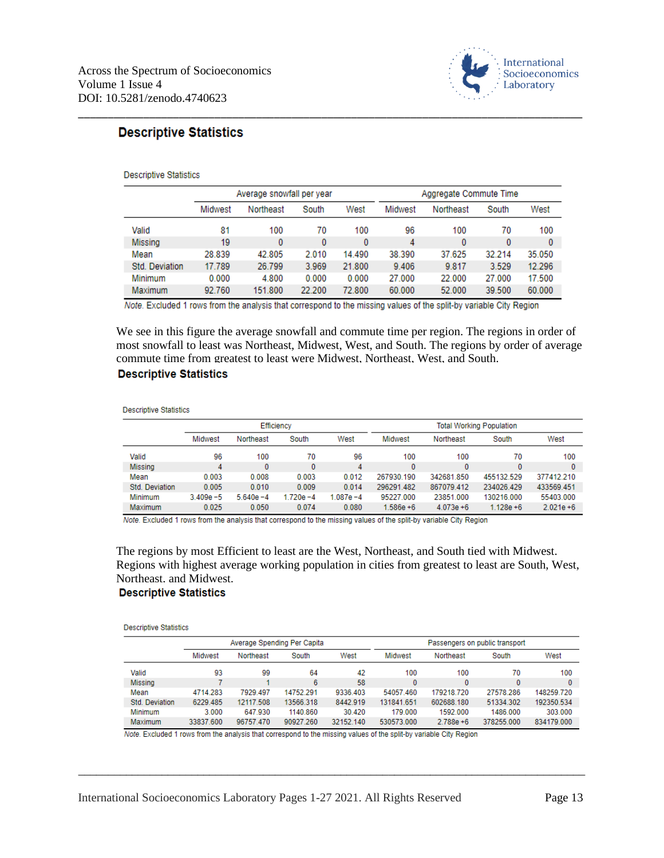

# **Descriptive Statistics**

#### **Descriptive Statistics**

|                       |         | Average snowfall per year |        |        |         | Aggregate Commute Time |          |        |  |  |
|-----------------------|---------|---------------------------|--------|--------|---------|------------------------|----------|--------|--|--|
|                       | Midwest | Northeast                 | South  | West   | Midwest | Northeast              | South    | West   |  |  |
| Valid                 | 81      | 100                       | 70     | 100    | 96      | 100                    | 70       | 100    |  |  |
| <b>Missing</b>        | 19      | $\bf{0}$                  | 0      | 0      | 4       | 0                      | $\bf{0}$ | 0      |  |  |
| Mean                  | 28.839  | 42.805                    | 2.010  | 14.490 | 38.390  | 37.625                 | 32.214   | 35.050 |  |  |
| <b>Std. Deviation</b> | 17.789  | 26.799                    | 3.969  | 21.800 | 9.406   | 9.817                  | 3.529    | 12.296 |  |  |
| Minimum               | 0.000   | 4.800                     | 0.000  | 0.000  | 27.000  | 22.000                 | 27.000   | 17.500 |  |  |
| Maximum               | 92.760  | 151.800                   | 22.200 | 72.800 | 60,000  | 52.000                 | 39.500   | 60,000 |  |  |

\_\_\_\_\_\_\_\_\_\_\_\_\_\_\_\_\_\_\_\_\_\_\_\_\_\_\_\_\_\_\_\_\_\_\_\_\_\_\_\_\_\_\_\_\_\_\_\_\_\_\_\_\_\_\_\_\_\_\_\_\_\_\_\_\_\_\_\_\_\_\_\_\_\_\_\_\_\_\_\_\_\_\_\_\_

Note. Excluded 1 rows from the analysis that correspond to the missing values of the split-by variable City Region

We see in this figure the average snowfall and commute time per region. The regions in order of most snowfall to least was Northeast, Midwest, West, and South. The regions by order of average commute time from greatest to least were Midwest, Northeast, West, and South.

## **Descriptive Statistics**

**Descriptive Statistics** 

|                |              |              | Efficiency   |              | <b>Total Working Population</b> |              |              |              |  |
|----------------|--------------|--------------|--------------|--------------|---------------------------------|--------------|--------------|--------------|--|
|                | Midwest      | Northeast    | South        | West         | Midwest                         | Northeast    | South        | West         |  |
| Valid          | 96           | 100          | 70           | 96           | 100                             | 100          | 70           | 100          |  |
| Missing        | 4            | 0            | 0            | 4            | 0                               | $\Omega$     | 0            | 0            |  |
| Mean           | 0.003        | 0.008        | 0.003        | 0.012        | 267930.190                      | 342681.850   | 455132.529   | 377412.210   |  |
| Std. Deviation | 0.005        | 0.010        | 0.009        | 0.014        | 296291.482                      | 867079.412   | 234026.429   | 433569.451   |  |
| Minimum        | $3.409e - 5$ | $5.640e - 4$ | $1.720e - 4$ | $1.087e - 4$ | 95227.000                       | 23851.000    | 130216.000   | 55403.000    |  |
| <b>Maximum</b> | 0.025        | 0.050        | 0.074        | 0.080        | $1.586e + 6$                    | $4.073e + 6$ | $1.128e + 6$ | $2.021e + 6$ |  |

Note. Excluded 1 rows from the analysis that correspond to the missing values of the split-by variable City Region

The regions by most Efficient to least are the West, Northeast, and South tied with Midwest. Regions with highest average working population in cities from greatest to least are South, West, Northeast, and Midwest.

## **Descriptive Statistics**

**Descriptive Statistics** 

|                |                | Average Spending Per Capita |           |           | Passengers on public transport |              |            |            |  |
|----------------|----------------|-----------------------------|-----------|-----------|--------------------------------|--------------|------------|------------|--|
|                | <b>Midwest</b> | Northeast                   | South     | West      | Midwest                        | Northeast    | South      | West       |  |
| Valid          | 93             | 99                          | 64        | 42        | 100                            | 100          | 70         | 100        |  |
| <b>Missing</b> |                |                             | 6         | 58        | $\bf{0}$                       | 0            | 0          | 0          |  |
| Mean           | 4714.283       | 7929.497                    | 14752.291 | 9336.403  | 54057.460                      | 179218.720   | 27578.286  | 148259.720 |  |
| Std. Deviation | 6229.485       | 12117.508                   | 13566.318 | 8442.919  | 131841.651                     | 602688.180   | 51334.302  | 192350.534 |  |
| Minimum        | 3.000          | 647.930                     | 1140.860  | 30.420    | 179,000                        | 1592.000     | 1486.000   | 303,000    |  |
| <b>Maximum</b> | 33837.600      | 96757.470                   | 90927.260 | 32152.140 | 530573.000                     | $2.788e + 6$ | 378255.000 | 834179.000 |  |

\_\_\_\_\_\_\_\_\_\_\_\_\_\_\_\_\_\_\_\_\_\_\_\_\_\_\_\_\_\_\_\_\_\_\_\_\_\_\_\_\_\_\_\_\_\_\_\_\_\_\_\_\_\_\_\_\_\_\_\_\_\_\_\_\_\_\_\_\_\_\_\_\_\_\_\_\_\_\_\_\_\_\_\_\_

Note. Excluded 1 rows from the analysis that correspond to the missing values of the split-by variable City Region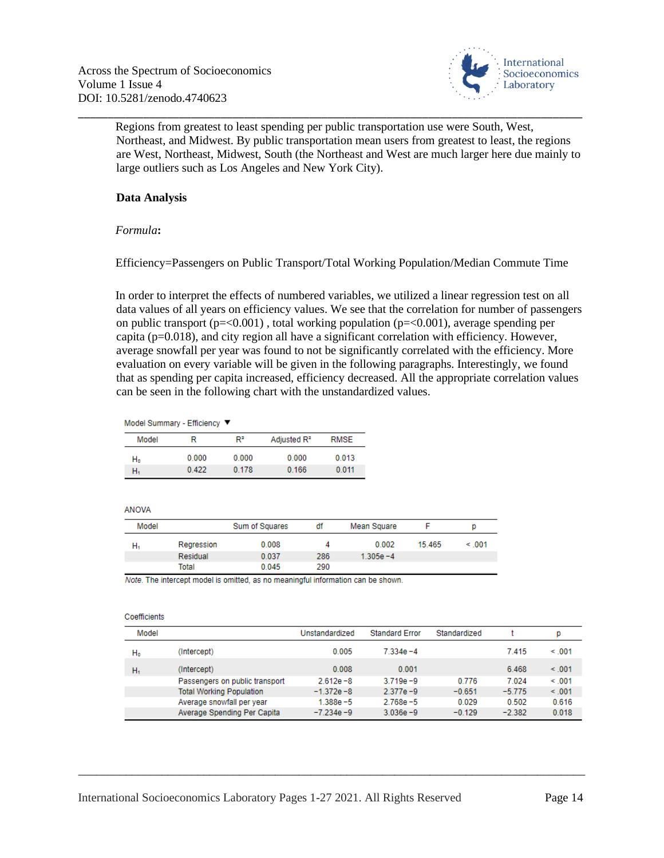

Regions from greatest to least spending per public transportation use were South, West, Northeast, and Midwest. By public transportation mean users from greatest to least, the regions are West, Northeast, Midwest, South (the Northeast and West are much larger here due mainly to large outliers such as Los Angeles and New York City).

\_\_\_\_\_\_\_\_\_\_\_\_\_\_\_\_\_\_\_\_\_\_\_\_\_\_\_\_\_\_\_\_\_\_\_\_\_\_\_\_\_\_\_\_\_\_\_\_\_\_\_\_\_\_\_\_\_\_\_\_\_\_\_\_\_\_\_\_\_\_\_\_\_\_\_\_\_\_\_\_\_\_\_\_\_

## **Data Analysis**

## *Formula***:**

Efficiency=Passengers on Public Transport/Total Working Population/Median Commute Time

In order to interpret the effects of numbered variables, we utilized a linear regression test on all data values of all years on efficiency values. We see that the correlation for number of passengers on public transport ( $p = 0.001$ ), total working population ( $p = 0.001$ ), average spending per capita ( $p=0.018$ ), and city region all have a significant correlation with efficiency. However, average snowfall per year was found to not be significantly correlated with the efficiency. More evaluation on every variable will be given in the following paragraphs. Interestingly, we found that as spending per capita increased, efficiency decreased. All the appropriate correlation values can be seen in the following chart with the unstandardized values.

#### Model Summary - Efficiency ▼

| Model | R     | R <sup>2</sup> | Adjusted R <sup>2</sup> | <b>RMSE</b> |
|-------|-------|----------------|-------------------------|-------------|
| H۵    | 0.000 | 0.000          | 0.000                   | 0.013       |
| н.    | 0.422 | 0.178          | 0.166                   | 0.011       |

#### **ANOVA**

| Model |            | Sum of Squares | df  | Mean Square  |         |        |
|-------|------------|----------------|-----|--------------|---------|--------|
| н.    | Regression | 0.008          |     | 0.002        | 15 4 65 | < 0.01 |
|       | Residual   | 0.037          | 286 | $1.305e - 4$ |         |        |
|       | Total      | 0.045          | 290 |              |         |        |

Note. The intercept model is omitted, as no meaningful information can be shown.

#### Coefficients

| Model          |                                 | Unstandardized | <b>Standard Error</b> | Standardized |          | p           |
|----------------|---------------------------------|----------------|-----------------------|--------------|----------|-------------|
| H <sub>0</sub> | (Intercept)                     | 0.005          | 7.334e-4              |              | 7.415    | < 0.01      |
| н,             | (Intercept)                     | 0.008          | 0.001                 |              | 6.468    | $\leq 0.01$ |
|                | Passengers on public transport  | $2.612e - 8$   | $3.719e - 9$          | 0.776        | 7.024    | $\leq 0.01$ |
|                | <b>Total Working Population</b> | $-1.372e - 8$  | $2.377e - 9$          | $-0.651$     | $-5.775$ | < 0.01      |
|                | Average snowfall per year       | $1.388e - 5$   | $2.768e - 5$          | 0.029        | 0.502    | 0.616       |
|                | Average Spending Per Capita     | $-7.234e - 9$  | $3.036e - 9$          | $-0.129$     | $-2.382$ | 0.018       |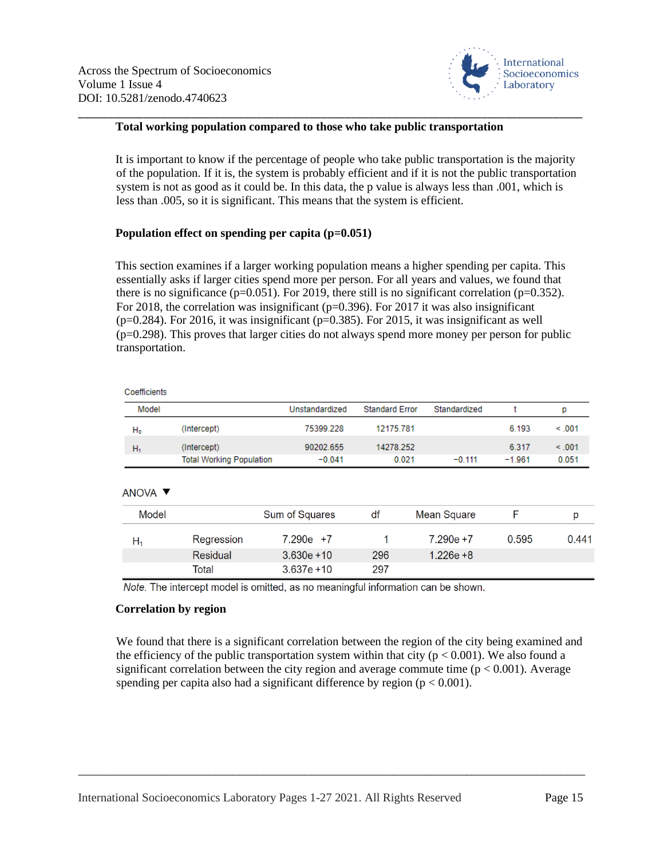

## **Total working population compared to those who take public transportation**

\_\_\_\_\_\_\_\_\_\_\_\_\_\_\_\_\_\_\_\_\_\_\_\_\_\_\_\_\_\_\_\_\_\_\_\_\_\_\_\_\_\_\_\_\_\_\_\_\_\_\_\_\_\_\_\_\_\_\_\_\_\_\_\_\_\_\_\_\_\_\_\_\_\_\_\_\_\_\_\_\_\_\_\_\_

It is important to know if the percentage of people who take public transportation is the majority of the population. If it is, the system is probably efficient and if it is not the public transportation system is not as good as it could be. In this data, the p value is always less than .001, which is less than .005, so it is significant. This means that the system is efficient.

## **Population effect on spending per capita (p=0.051)**

This section examines if a larger working population means a higher spending per capita. This essentially asks if larger cities spend more per person. For all years and values, we found that there is no significance ( $p=0.051$ ). For 2019, there still is no significant correlation ( $p=0.352$ ). For 2018, the correlation was insignificant ( $p=0.396$ ). For 2017 it was also insignificant  $(p=0.284)$ . For 2016, it was insignificant (p=0.385). For 2015, it was insignificant as well  $(p=0.298)$ . This proves that larger cities do not always spend more money per person for public transportation.

| Coefficients |                                 |                |                       |              |          |             |
|--------------|---------------------------------|----------------|-----------------------|--------------|----------|-------------|
| Model        |                                 | Unstandardized | <b>Standard Error</b> | Standardized |          | p           |
| $H_0$        | (Intercept)                     | 75399.228      | 12175.781             |              | 6.193    | $\leq 0.01$ |
| н,           | (Intercept)                     | 90202.655      | 14278.252             |              | 6.317    | < 0.01      |
|              | <b>Total Working Population</b> | $-0.041$       | 0.021                 | $-0.111$     | $-1.961$ | 0.051       |

#### ANOVA V

| Model |            | Sum of Squares | df  | Mean Square  |       |       |
|-------|------------|----------------|-----|--------------|-------|-------|
| Ħ1    | Regression | $7.290e +7$    |     | $7.290e + 7$ | 0.595 | 0.441 |
|       | Residual   | $3.630e + 10$  | 296 | $1.226e + 8$ |       |       |
|       | Total      | $3.637e + 10$  | 297 |              |       |       |

Note. The intercept model is omitted, as no meaningful information can be shown.

#### **Correlation by region**

We found that there is a significant correlation between the region of the city being examined and the efficiency of the public transportation system within that city ( $p < 0.001$ ). We also found a significant correlation between the city region and average commute time ( $p < 0.001$ ). Average spending per capita also had a significant difference by region ( $p < 0.001$ ).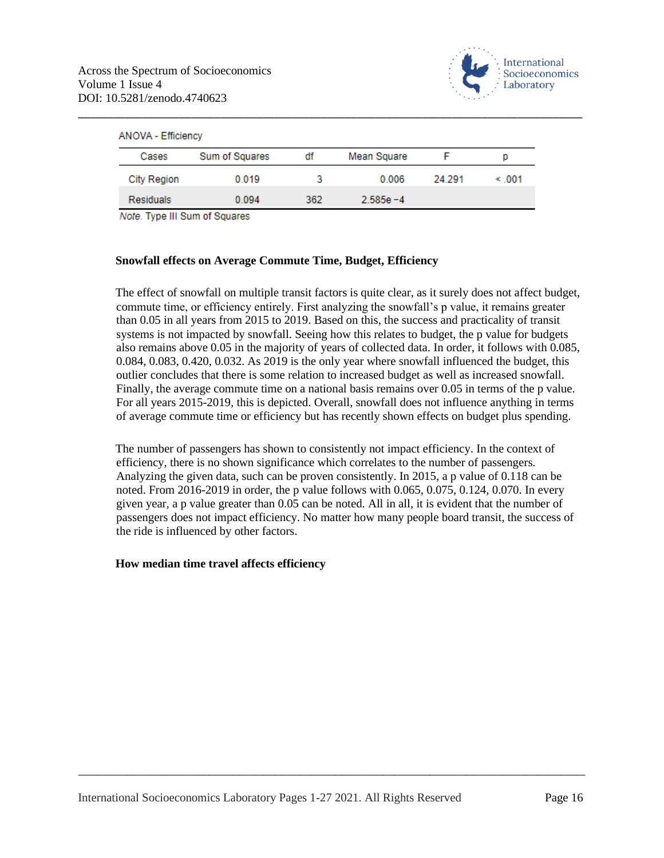

| <b>ANOVA - Efficiency</b> |                |     |              |        |            |  |  |  |  |
|---------------------------|----------------|-----|--------------|--------|------------|--|--|--|--|
| Cases                     | Sum of Squares | df  | Mean Square  |        | p          |  |  |  |  |
| <b>City Region</b>        | 0.019          |     | 0.006        | 24.291 | $\leq 001$ |  |  |  |  |
| <b>Residuals</b>          | 0.094          | 362 | $2.585e - 4$ |        |            |  |  |  |  |

Note. Type III Sum of Squares

## **Snowfall effects on Average Commute Time, Budget, Efficiency**

The effect of snowfall on multiple transit factors is quite clear, as it surely does not affect budget, commute time, or efficiency entirely. First analyzing the snowfall's p value, it remains greater than 0.05 in all years from 2015 to 2019. Based on this, the success and practicality of transit systems is not impacted by snowfall. Seeing how this relates to budget, the p value for budgets also remains above 0.05 in the majority of years of collected data. In order, it follows with 0.085, 0.084, 0.083, 0.420, 0.032. As 2019 is the only year where snowfall influenced the budget, this outlier concludes that there is some relation to increased budget as well as increased snowfall. Finally, the average commute time on a national basis remains over 0.05 in terms of the p value. For all years 2015-2019, this is depicted. Overall, snowfall does not influence anything in terms of average commute time or efficiency but has recently shown effects on budget plus spending.

The number of passengers has shown to consistently not impact efficiency. In the context of efficiency, there is no shown significance which correlates to the number of passengers. Analyzing the given data, such can be proven consistently. In 2015, a p value of 0.118 can be noted. From 2016-2019 in order, the p value follows with 0.065, 0.075, 0.124, 0.070. In every given year, a p value greater than 0.05 can be noted. All in all, it is evident that the number of passengers does not impact efficiency. No matter how many people board transit, the success of the ride is influenced by other factors.

\_\_\_\_\_\_\_\_\_\_\_\_\_\_\_\_\_\_\_\_\_\_\_\_\_\_\_\_\_\_\_\_\_\_\_\_\_\_\_\_\_\_\_\_\_\_\_\_\_\_\_\_\_\_\_\_\_\_\_\_\_\_\_\_\_\_\_\_\_\_\_\_\_\_\_\_\_\_\_\_\_\_\_\_\_

#### **How median time travel affects efficiency**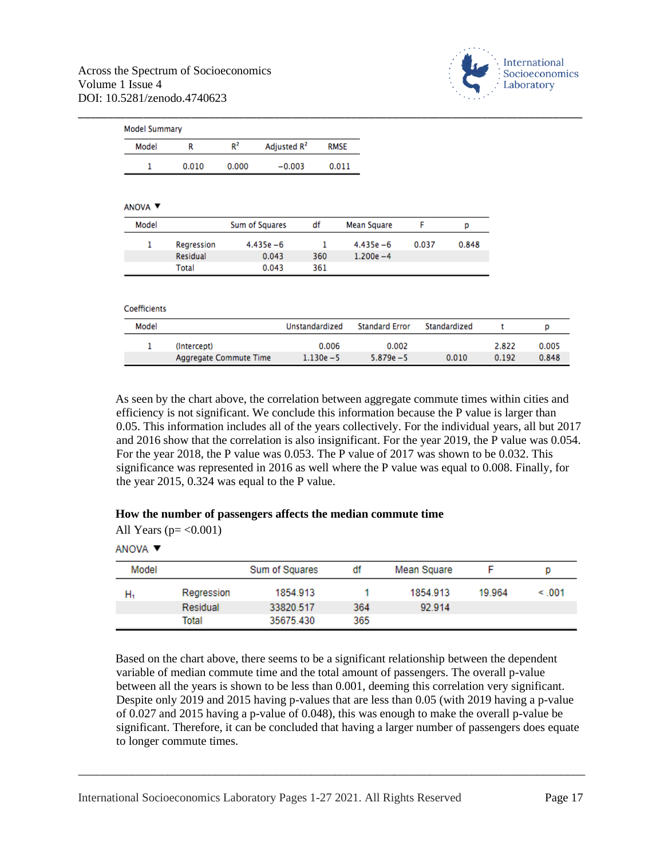

| <b>Model Summary</b> |             |                        |                         |                |                       |       |              |       |       |
|----------------------|-------------|------------------------|-------------------------|----------------|-----------------------|-------|--------------|-------|-------|
| Model                | R           | $R^2$                  | Adjusted R <sup>2</sup> | <b>RMSE</b>    |                       |       |              |       |       |
| 1                    | 0.010       | 0.000                  | $-0.003$                | 0.011          |                       |       |              |       |       |
| ANOVA V              |             |                        |                         |                |                       |       |              |       |       |
| Model                |             | Sum of Squares         |                         | df             | <b>Mean Square</b>    | F     | р            |       |       |
| 1                    | Regression  | $4.435e - 6$           |                         | 1              | $4.435e - 6$          | 0.037 | 0.848        |       |       |
|                      | Residual    |                        | 0.043                   | 360            | $1.200e - 4$          |       |              |       |       |
|                      | Total       |                        | 0.043                   | 361            |                       |       |              |       |       |
| Coefficients         |             |                        |                         |                |                       |       |              |       |       |
| Model                |             |                        |                         | Unstandardized | <b>Standard Error</b> |       | Standardized | t     | p     |
| 1                    | (Intercept) |                        |                         | 0.006          | 0.002                 |       |              | 2.822 | 0.005 |
|                      |             | Aggregate Commute Time |                         | $1.130e - 5$   | $5.879e - 5$          |       | 0.010        | 0.192 | 0.848 |

As seen by the chart above, the correlation between aggregate commute times within cities and efficiency is not significant. We conclude this information because the P value is larger than 0.05. This information includes all of the years collectively. For the individual years, all but 2017 and 2016 show that the correlation is also insignificant. For the year 2019, the P value was 0.054. For the year 2018, the P value was 0.053. The P value of 2017 was shown to be 0.032. This significance was represented in 2016 as well where the P value was equal to 0.008. Finally, for the year 2015, 0.324 was equal to the P value.

## **How the number of passengers affects the median commute time**

|  |  | All Years ( $p = < 0.001$ ) |
|--|--|-----------------------------|
|--|--|-----------------------------|

ANOVA V

| Model |            | Sum of Squares | df  | Mean Square |        | p           |
|-------|------------|----------------|-----|-------------|--------|-------------|
| н,    | Regression | 1854.913       |     | 1854.913    | 19.964 | $\leq 0.01$ |
|       | Residual   | 33820.517      | 364 | 92.914      |        |             |
|       | Total      | 35675.430      | 365 |             |        |             |

Based on the chart above, there seems to be a significant relationship between the dependent variable of median commute time and the total amount of passengers. The overall p-value between all the years is shown to be less than 0.001, deeming this correlation very significant. Despite only 2019 and 2015 having p-values that are less than 0.05 (with 2019 having a p-value of 0.027 and 2015 having a p-value of 0.048), this was enough to make the overall p-value be significant. Therefore, it can be concluded that having a larger number of passengers does equate to longer commute times.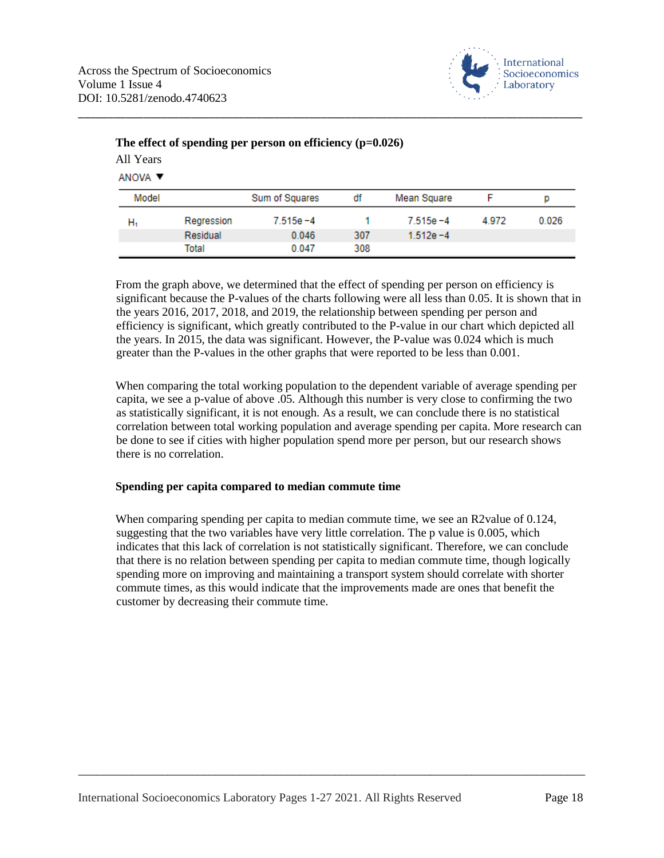

| ANOVA V |            |                |     |              |       |       |  |  |
|---------|------------|----------------|-----|--------------|-------|-------|--|--|
| Model   |            | Sum of Squares | df  | Mean Square  |       | p     |  |  |
| н,      | Regression | $7.515e - 4$   |     | $7.515e - 4$ | 4.972 | 0.026 |  |  |
|         | Residual   | 0.046          | 307 | $1.512e - 4$ |       |       |  |  |
|         | Total      | 0.047          | 308 |              |       |       |  |  |

## **The effect of spending per person on efficiency (p=0.026)** All Years

From the graph above, we determined that the effect of spending per person on efficiency is significant because the P-values of the charts following were all less than 0.05. It is shown that in the years 2016, 2017, 2018, and 2019, the relationship between spending per person and efficiency is significant, which greatly contributed to the P-value in our chart which depicted all the years. In 2015, the data was significant. However, the P-value was 0.024 which is much greater than the P-values in the other graphs that were reported to be less than 0.001.

When comparing the total working population to the dependent variable of average spending per capita, we see a p-value of above .05. Although this number is very close to confirming the two as statistically significant, it is not enough. As a result, we can conclude there is no statistical correlation between total working population and average spending per capita. More research can be done to see if cities with higher population spend more per person, but our research shows there is no correlation.

# **Spending per capita compared to median commute time**

When comparing spending per capita to median commute time, we see an R2value of 0.124, suggesting that the two variables have very little correlation. The p value is 0.005, which indicates that this lack of correlation is not statistically significant. Therefore, we can conclude that there is no relation between spending per capita to median commute time, though logically spending more on improving and maintaining a transport system should correlate with shorter commute times, as this would indicate that the improvements made are ones that benefit the customer by decreasing their commute time.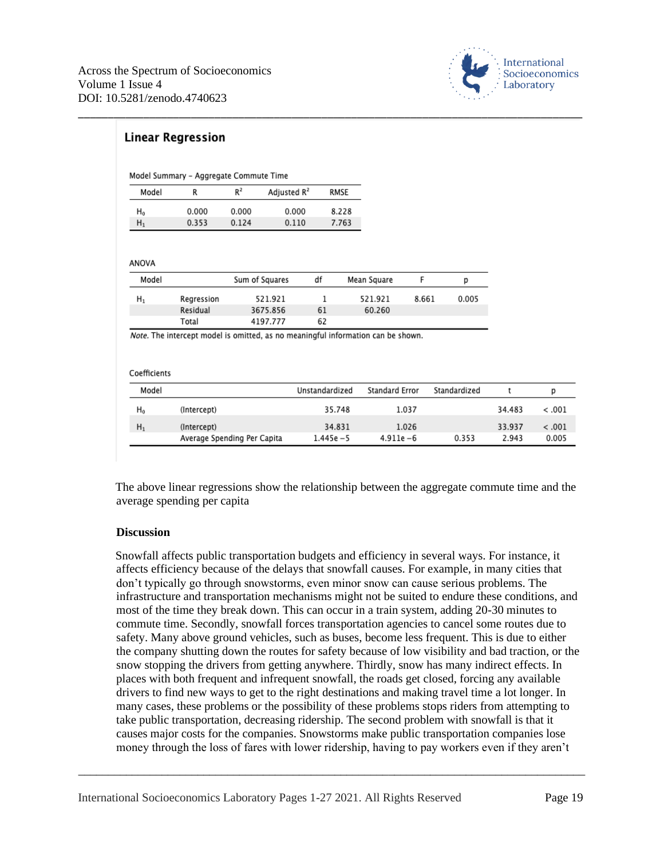

| Model | R          | $R^2$ | Adjusted R <sup>2</sup> |    | RMSE        |       |       |
|-------|------------|-------|-------------------------|----|-------------|-------|-------|
| $H_0$ | 0.000      | 0.000 | 0.000                   |    | 8.228       |       |       |
| $H_1$ | 0.353      | 0.124 | 0.110                   |    | 7.763       |       |       |
| Model |            |       | Sum of Squares          | df | Mean Square | F     | р     |
| $H_1$ | Regression |       | 521.921                 | 1  | 521.921     | 8.661 | 0.005 |
|       |            |       | 3675.856                | 61 | 60.260      |       |       |
|       | Residual   |       |                         |    |             |       |       |

| Model |                             | Unstandardized | Standard Error | Standardized |        |         |
|-------|-----------------------------|----------------|----------------|--------------|--------|---------|
| H0    | (Intercept)                 | 35.748         | 1.037          |              | 34.483 | - 001 > |
| $H_1$ | (Intercept)                 | 34.831         | 1.026          |              | 33.937 | - 001 > |
|       | Average Spending Per Capita | $1.445e - 5$   | $4.911e - 6$   | 0.353        | 2.943  | 0.005   |

The above linear regressions show the relationship between the aggregate commute time and the average spending per capita

## **Discussion**

Snowfall affects public transportation budgets and efficiency in several ways. For instance, it affects efficiency because of the delays that snowfall causes. For example, in many cities that don't typically go through snowstorms, even minor snow can cause serious problems. The infrastructure and transportation mechanisms might not be suited to endure these conditions, and most of the time they break down. This can occur in a train system, adding 20-30 minutes to commute time. Secondly, snowfall forces transportation agencies to cancel some routes due to safety. Many above ground vehicles, such as buses, become less frequent. This is due to either the company shutting down the routes for safety because of low visibility and bad traction, or the snow stopping the drivers from getting anywhere. Thirdly, snow has many indirect effects. In places with both frequent and infrequent snowfall, the roads get closed, forcing any available drivers to find new ways to get to the right destinations and making travel time a lot longer. In many cases, these problems or the possibility of these problems stops riders from attempting to take public transportation, decreasing ridership. The second problem with snowfall is that it causes major costs for the companies. Snowstorms make public transportation companies lose money through the loss of fares with lower ridership, having to pay workers even if they aren't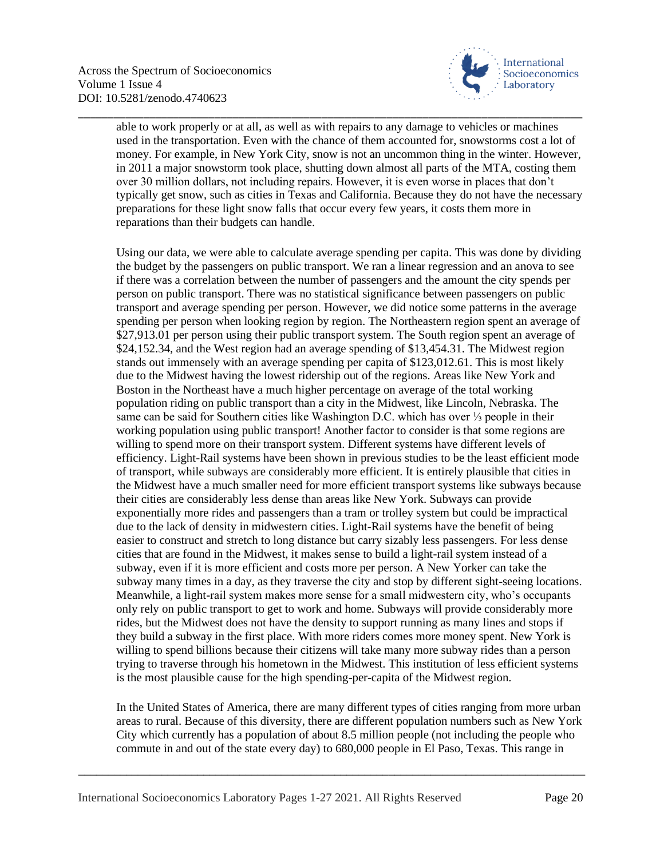

able to work properly or at all, as well as with repairs to any damage to vehicles or machines used in the transportation. Even with the chance of them accounted for, snowstorms cost a lot of money. For example, in New York City, snow is not an uncommon thing in the winter. However, in 2011 a major snowstorm took place, shutting down almost all parts of the MTA, costing them over 30 million dollars, not including repairs. However, it is even worse in places that don't typically get snow, such as cities in Texas and California. Because they do not have the necessary preparations for these light snow falls that occur every few years, it costs them more in reparations than their budgets can handle.

\_\_\_\_\_\_\_\_\_\_\_\_\_\_\_\_\_\_\_\_\_\_\_\_\_\_\_\_\_\_\_\_\_\_\_\_\_\_\_\_\_\_\_\_\_\_\_\_\_\_\_\_\_\_\_\_\_\_\_\_\_\_\_\_\_\_\_\_\_\_\_\_\_\_\_\_\_\_\_\_\_\_\_\_\_

Using our data, we were able to calculate average spending per capita. This was done by dividing the budget by the passengers on public transport. We ran a linear regression and an anova to see if there was a correlation between the number of passengers and the amount the city spends per person on public transport. There was no statistical significance between passengers on public transport and average spending per person. However, we did notice some patterns in the average spending per person when looking region by region. The Northeastern region spent an average of \$27,913.01 per person using their public transport system. The South region spent an average of \$24,152.34, and the West region had an average spending of \$13,454.31. The Midwest region stands out immensely with an average spending per capita of \$123,012.61. This is most likely due to the Midwest having the lowest ridership out of the regions. Areas like New York and Boston in the Northeast have a much higher percentage on average of the total working population riding on public transport than a city in the Midwest, like Lincoln, Nebraska. The same can be said for Southern cities like Washington D.C. which has over ⅓ people in their working population using public transport! Another factor to consider is that some regions are willing to spend more on their transport system. Different systems have different levels of efficiency. Light-Rail systems have been shown in previous studies to be the least efficient mode of transport, while subways are considerably more efficient. It is entirely plausible that cities in the Midwest have a much smaller need for more efficient transport systems like subways because their cities are considerably less dense than areas like New York. Subways can provide exponentially more rides and passengers than a tram or trolley system but could be impractical due to the lack of density in midwestern cities. Light-Rail systems have the benefit of being easier to construct and stretch to long distance but carry sizably less passengers. For less dense cities that are found in the Midwest, it makes sense to build a light-rail system instead of a subway, even if it is more efficient and costs more per person. A New Yorker can take the subway many times in a day, as they traverse the city and stop by different sight-seeing locations. Meanwhile, a light-rail system makes more sense for a small midwestern city, who's occupants only rely on public transport to get to work and home. Subways will provide considerably more rides, but the Midwest does not have the density to support running as many lines and stops if they build a subway in the first place. With more riders comes more money spent. New York is willing to spend billions because their citizens will take many more subway rides than a person trying to traverse through his hometown in the Midwest. This institution of less efficient systems is the most plausible cause for the high spending-per-capita of the Midwest region.

In the United States of America, there are many different types of cities ranging from more urban areas to rural. Because of this diversity, there are different population numbers such as New York City which currently has a population of about 8.5 million people (not including the people who commute in and out of the state every day) to 680,000 people in El Paso, Texas. This range in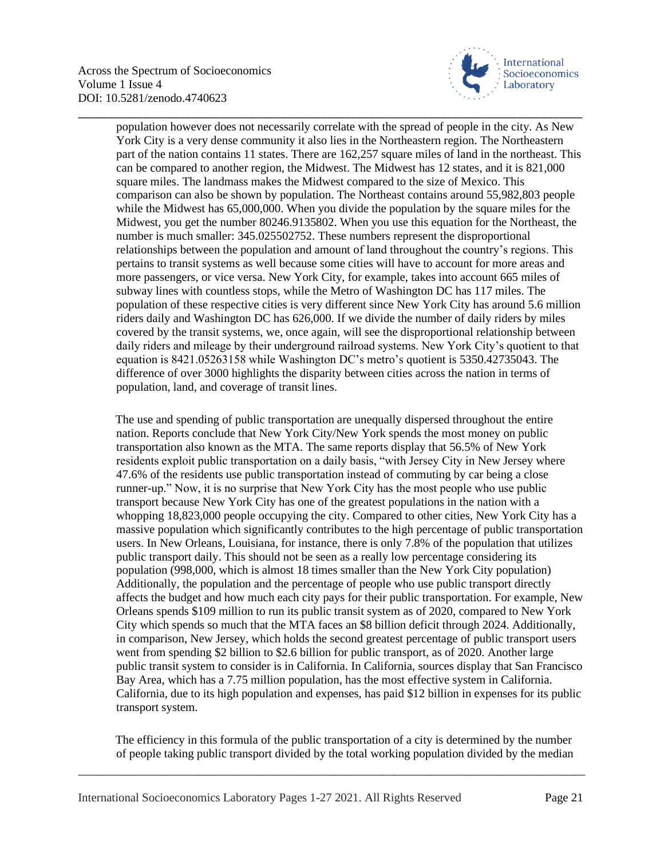

population however does not necessarily correlate with the spread of people in the city. As New York City is a very dense community it also lies in the Northeastern region. The Northeastern part of the nation contains 11 states. There are 162,257 square miles of land in the northeast. This can be compared to another region, the Midwest. The Midwest has 12 states, and it is 821,000 square miles. The landmass makes the Midwest compared to the size of Mexico. This comparison can also be shown by population. The Northeast contains around 55,982,803 people while the Midwest has 65,000,000. When you divide the population by the square miles for the Midwest, you get the number 80246.9135802. When you use this equation for the Northeast, the number is much smaller: 345.025502752. These numbers represent the disproportional relationships between the population and amount of land throughout the country's regions. This pertains to transit systems as well because some cities will have to account for more areas and more passengers, or vice versa. New York City, for example, takes into account 665 miles of subway lines with countless stops, while the Metro of Washington DC has 117 miles. The population of these respective cities is very different since New York City has around 5.6 million riders daily and Washington DC has 626,000. If we divide the number of daily riders by miles covered by the transit systems, we, once again, will see the disproportional relationship between daily riders and mileage by their underground railroad systems. New York City's quotient to that equation is 8421.05263158 while Washington DC's metro's quotient is 5350.42735043. The difference of over 3000 highlights the disparity between cities across the nation in terms of population, land, and coverage of transit lines.

\_\_\_\_\_\_\_\_\_\_\_\_\_\_\_\_\_\_\_\_\_\_\_\_\_\_\_\_\_\_\_\_\_\_\_\_\_\_\_\_\_\_\_\_\_\_\_\_\_\_\_\_\_\_\_\_\_\_\_\_\_\_\_\_\_\_\_\_\_\_\_\_\_\_\_\_\_\_\_\_\_\_\_\_\_

The use and spending of public transportation are unequally dispersed throughout the entire nation. Reports conclude that New York City/New York spends the most money on public transportation also known as the MTA. The same reports display that 56.5% of New York residents exploit public transportation on a daily basis, "with Jersey City in New Jersey where 47.6% of the residents use public transportation instead of commuting by car being a close runner-up." Now, it is no surprise that New York City has the most people who use public transport because New York City has one of the greatest populations in the nation with a whopping 18,823,000 people occupying the city. Compared to other cities, New York City has a massive population which significantly contributes to the high percentage of public transportation users. In New Orleans, Louisiana, for instance, there is only 7.8% of the population that utilizes public transport daily. This should not be seen as a really low percentage considering its population (998,000, which is almost 18 times smaller than the New York City population) Additionally, the population and the percentage of people who use public transport directly affects the budget and how much each city pays for their public transportation. For example, New Orleans spends \$109 million to run its public transit system as of 2020, compared to New York City which spends so much that the MTA faces an \$8 billion deficit through 2024. Additionally, in comparison, New Jersey, which holds the second greatest percentage of public transport users went from spending \$2 billion to \$2.6 billion for public transport, as of 2020. Another large public transit system to consider is in California. In California, sources display that San Francisco Bay Area, which has a 7.75 million population, has the most effective system in California. California, due to its high population and expenses, has paid \$12 billion in expenses for its public transport system.

The efficiency in this formula of the public transportation of a city is determined by the number of people taking public transport divided by the total working population divided by the median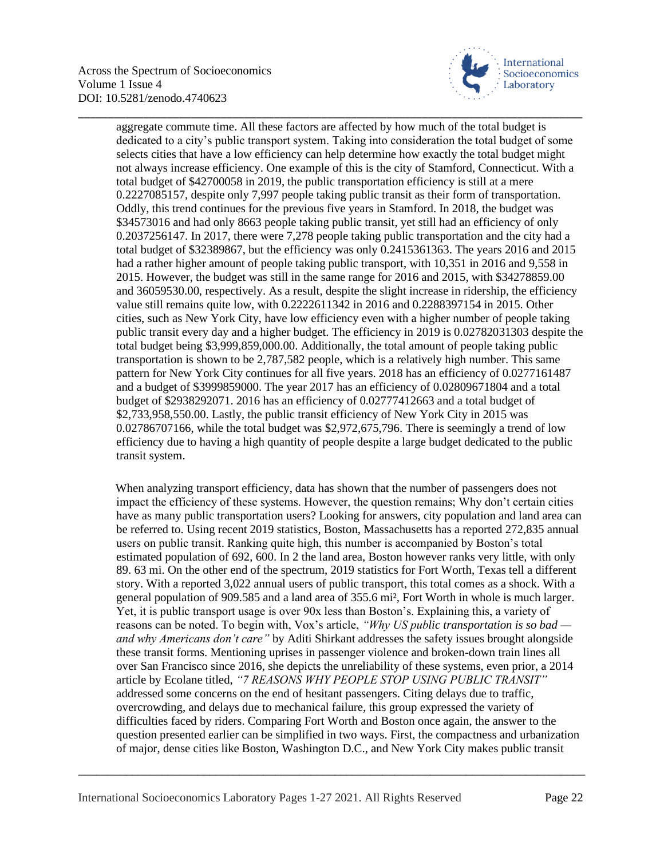

aggregate commute time. All these factors are affected by how much of the total budget is dedicated to a city's public transport system. Taking into consideration the total budget of some selects cities that have a low efficiency can help determine how exactly the total budget might not always increase efficiency. One example of this is the city of Stamford, Connecticut. With a total budget of \$42700058 in 2019, the public transportation efficiency is still at a mere 0.2227085157, despite only 7,997 people taking public transit as their form of transportation. Oddly, this trend continues for the previous five years in Stamford. In 2018, the budget was \$34573016 and had only 8663 people taking public transit, yet still had an efficiency of only 0.2037256147. In 2017, there were 7,278 people taking public transportation and the city had a total budget of \$32389867, but the efficiency was only 0.2415361363. The years 2016 and 2015 had a rather higher amount of people taking public transport, with 10,351 in 2016 and 9,558 in 2015. However, the budget was still in the same range for 2016 and 2015, with \$34278859.00 and 36059530.00, respectively. As a result, despite the slight increase in ridership, the efficiency value still remains quite low, with 0.2222611342 in 2016 and 0.2288397154 in 2015. Other cities, such as New York City, have low efficiency even with a higher number of people taking public transit every day and a higher budget. The efficiency in 2019 is 0.02782031303 despite the total budget being \$3,999,859,000.00. Additionally, the total amount of people taking public transportation is shown to be 2,787,582 people, which is a relatively high number. This same pattern for New York City continues for all five years. 2018 has an efficiency of 0.0277161487 and a budget of \$3999859000. The year 2017 has an efficiency of 0.02809671804 and a total budget of \$2938292071. 2016 has an efficiency of 0.02777412663 and a total budget of \$2,733,958,550.00. Lastly, the public transit efficiency of New York City in 2015 was 0.02786707166, while the total budget was \$2,972,675,796. There is seemingly a trend of low efficiency due to having a high quantity of people despite a large budget dedicated to the public transit system.

\_\_\_\_\_\_\_\_\_\_\_\_\_\_\_\_\_\_\_\_\_\_\_\_\_\_\_\_\_\_\_\_\_\_\_\_\_\_\_\_\_\_\_\_\_\_\_\_\_\_\_\_\_\_\_\_\_\_\_\_\_\_\_\_\_\_\_\_\_\_\_\_\_\_\_\_\_\_\_\_\_\_\_\_\_

When analyzing transport efficiency, data has shown that the number of passengers does not impact the efficiency of these systems. However, the question remains; Why don't certain cities have as many public transportation users? Looking for answers, city population and land area can be referred to. Using recent 2019 statistics, Boston, Massachusetts has a reported 272,835 annual users on public transit. Ranking quite high, this number is accompanied by Boston's total estimated population of 692, 600. In 2 the land area, Boston however ranks very little, with only 89. 63 mi. On the other end of the spectrum, 2019 statistics for Fort Worth, Texas tell a different story. With a reported 3,022 annual users of public transport, this total comes as a shock. With a general population of 909.585 and a land area of 355.6 mi², Fort Worth in whole is much larger. Yet, it is public transport usage is over 90x less than Boston's. Explaining this, a variety of reasons can be noted. To begin with, Vox's article, *"Why US public transportation is so bad and why Americans don't care"* by Aditi Shirkant addresses the safety issues brought alongside these transit forms. Mentioning uprises in passenger violence and broken-down train lines all over San Francisco since 2016, she depicts the unreliability of these systems, even prior, a 2014 article by Ecolane titled, *"7 REASONS WHY PEOPLE STOP USING PUBLIC TRANSIT"*  addressed some concerns on the end of hesitant passengers. Citing delays due to traffic, overcrowding, and delays due to mechanical failure, this group expressed the variety of difficulties faced by riders. Comparing Fort Worth and Boston once again, the answer to the question presented earlier can be simplified in two ways. First, the compactness and urbanization of major, dense cities like Boston, Washington D.C., and New York City makes public transit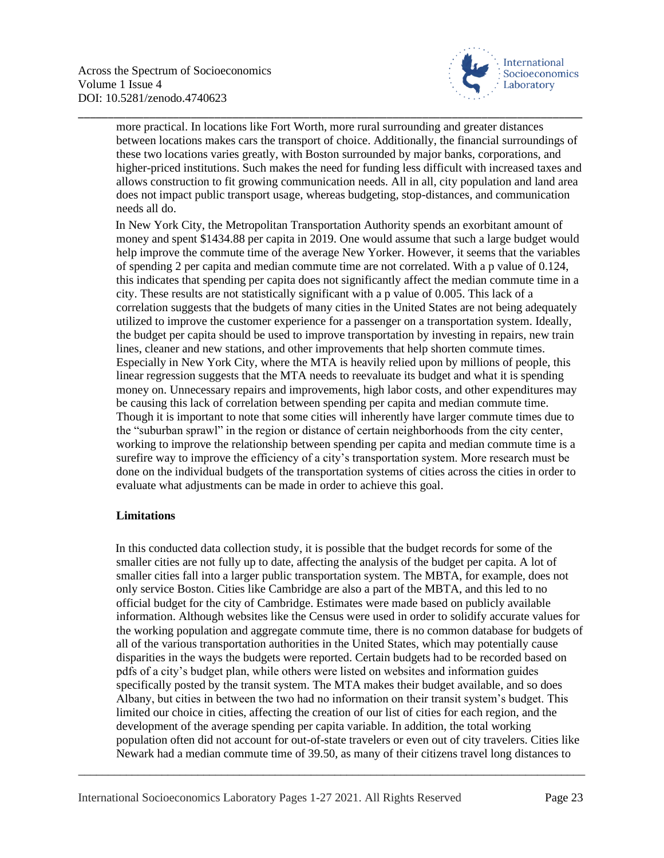

more practical. In locations like Fort Worth, more rural surrounding and greater distances between locations makes cars the transport of choice. Additionally, the financial surroundings of these two locations varies greatly, with Boston surrounded by major banks, corporations, and higher-priced institutions. Such makes the need for funding less difficult with increased taxes and allows construction to fit growing communication needs. All in all, city population and land area does not impact public transport usage, whereas budgeting, stop-distances, and communication needs all do.

\_\_\_\_\_\_\_\_\_\_\_\_\_\_\_\_\_\_\_\_\_\_\_\_\_\_\_\_\_\_\_\_\_\_\_\_\_\_\_\_\_\_\_\_\_\_\_\_\_\_\_\_\_\_\_\_\_\_\_\_\_\_\_\_\_\_\_\_\_\_\_\_\_\_\_\_\_\_\_\_\_\_\_\_\_

In New York City, the Metropolitan Transportation Authority spends an exorbitant amount of money and spent \$1434.88 per capita in 2019. One would assume that such a large budget would help improve the commute time of the average New Yorker. However, it seems that the variables of spending 2 per capita and median commute time are not correlated. With a p value of 0.124, this indicates that spending per capita does not significantly affect the median commute time in a city. These results are not statistically significant with a p value of 0.005. This lack of a correlation suggests that the budgets of many cities in the United States are not being adequately utilized to improve the customer experience for a passenger on a transportation system. Ideally, the budget per capita should be used to improve transportation by investing in repairs, new train lines, cleaner and new stations, and other improvements that help shorten commute times. Especially in New York City, where the MTA is heavily relied upon by millions of people, this linear regression suggests that the MTA needs to reevaluate its budget and what it is spending money on. Unnecessary repairs and improvements, high labor costs, and other expenditures may be causing this lack of correlation between spending per capita and median commute time. Though it is important to note that some cities will inherently have larger commute times due to the "suburban sprawl" in the region or distance of certain neighborhoods from the city center, working to improve the relationship between spending per capita and median commute time is a surefire way to improve the efficiency of a city's transportation system. More research must be done on the individual budgets of the transportation systems of cities across the cities in order to evaluate what adjustments can be made in order to achieve this goal.

## **Limitations**

In this conducted data collection study, it is possible that the budget records for some of the smaller cities are not fully up to date, affecting the analysis of the budget per capita. A lot of smaller cities fall into a larger public transportation system. The MBTA, for example, does not only service Boston. Cities like Cambridge are also a part of the MBTA, and this led to no official budget for the city of Cambridge. Estimates were made based on publicly available information. Although websites like the Census were used in order to solidify accurate values for the working population and aggregate commute time, there is no common database for budgets of all of the various transportation authorities in the United States, which may potentially cause disparities in the ways the budgets were reported. Certain budgets had to be recorded based on pdfs of a city's budget plan, while others were listed on websites and information guides specifically posted by the transit system. The MTA makes their budget available, and so does Albany, but cities in between the two had no information on their transit system's budget. This limited our choice in cities, affecting the creation of our list of cities for each region, and the development of the average spending per capita variable. In addition, the total working population often did not account for out-of-state travelers or even out of city travelers. Cities like Newark had a median commute time of 39.50, as many of their citizens travel long distances to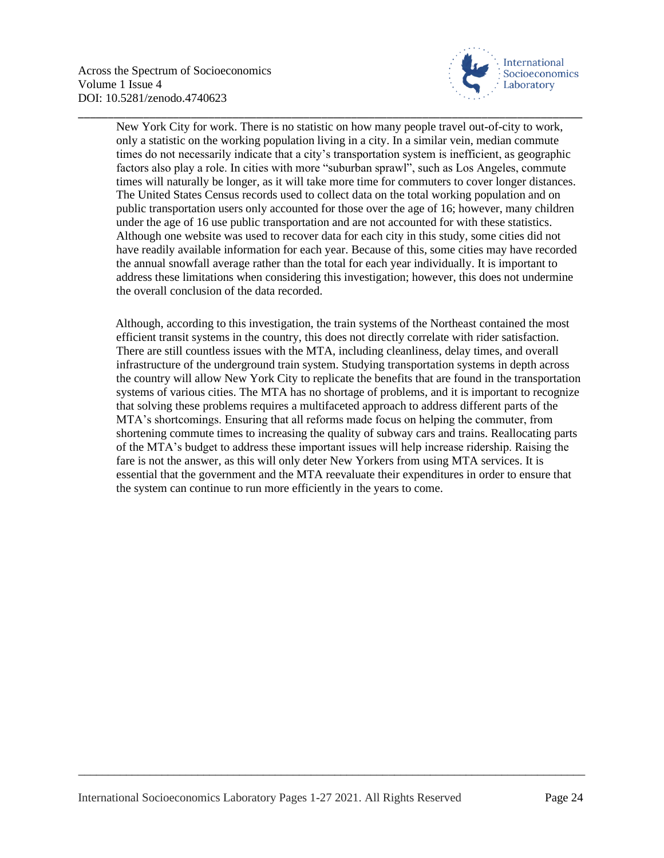

New York City for work. There is no statistic on how many people travel out-of-city to work, only a statistic on the working population living in a city. In a similar vein, median commute times do not necessarily indicate that a city's transportation system is inefficient, as geographic factors also play a role. In cities with more "suburban sprawl", such as Los Angeles, commute times will naturally be longer, as it will take more time for commuters to cover longer distances. The United States Census records used to collect data on the total working population and on public transportation users only accounted for those over the age of 16; however, many children under the age of 16 use public transportation and are not accounted for with these statistics. Although one website was used to recover data for each city in this study, some cities did not have readily available information for each year. Because of this, some cities may have recorded the annual snowfall average rather than the total for each year individually. It is important to address these limitations when considering this investigation; however, this does not undermine the overall conclusion of the data recorded.

\_\_\_\_\_\_\_\_\_\_\_\_\_\_\_\_\_\_\_\_\_\_\_\_\_\_\_\_\_\_\_\_\_\_\_\_\_\_\_\_\_\_\_\_\_\_\_\_\_\_\_\_\_\_\_\_\_\_\_\_\_\_\_\_\_\_\_\_\_\_\_\_\_\_\_\_\_\_\_\_\_\_\_\_\_

Although, according to this investigation, the train systems of the Northeast contained the most efficient transit systems in the country, this does not directly correlate with rider satisfaction. There are still countless issues with the MTA, including cleanliness, delay times, and overall infrastructure of the underground train system. Studying transportation systems in depth across the country will allow New York City to replicate the benefits that are found in the transportation systems of various cities. The MTA has no shortage of problems, and it is important to recognize that solving these problems requires a multifaceted approach to address different parts of the MTA's shortcomings. Ensuring that all reforms made focus on helping the commuter, from shortening commute times to increasing the quality of subway cars and trains. Reallocating parts of the MTA's budget to address these important issues will help increase ridership. Raising the fare is not the answer, as this will only deter New Yorkers from using MTA services. It is essential that the government and the MTA reevaluate their expenditures in order to ensure that the system can continue to run more efficiently in the years to come.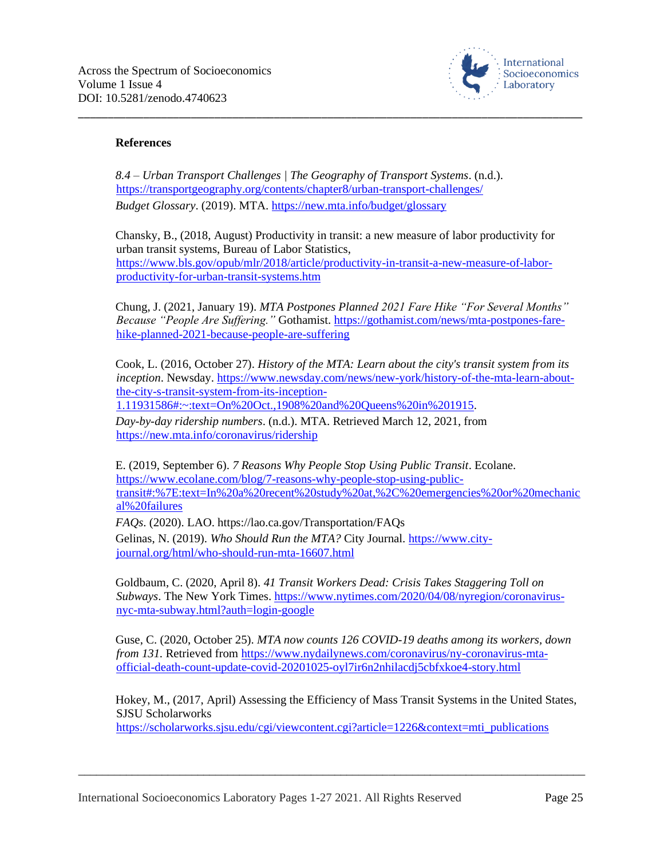

## **References**

*8.4 – Urban Transport Challenges | The Geography of Transport Systems*. (n.d.). <https://transportgeography.org/contents/chapter8/urban-transport-challenges/> *Budget Glossary*. (2019). MTA.<https://new.mta.info/budget/glossary>

Chansky, B., (2018, August) Productivity in transit: a new measure of labor productivity for urban transit systems, Bureau of Labor Statistics, [https://www.bls.gov/opub/mlr/2018/article/productivity-in-transit-a-new-measure-of-labor](https://www.bls.gov/opub/mlr/2018/article/productivity-in-transit-a-new-measure-of-labor-productivity-for-urban-transit-systems.htm)[productivity-for-urban-transit-systems.htm](https://www.bls.gov/opub/mlr/2018/article/productivity-in-transit-a-new-measure-of-labor-productivity-for-urban-transit-systems.htm)

\_\_\_\_\_\_\_\_\_\_\_\_\_\_\_\_\_\_\_\_\_\_\_\_\_\_\_\_\_\_\_\_\_\_\_\_\_\_\_\_\_\_\_\_\_\_\_\_\_\_\_\_\_\_\_\_\_\_\_\_\_\_\_\_\_\_\_\_\_\_\_\_\_\_\_\_\_\_\_\_\_\_\_\_\_

Chung, J. (2021, January 19). *MTA Postpones Planned 2021 Fare Hike "For Several Months" Because "People Are Suffering."* Gothamist. [https://gothamist.com/news/mta-postpones-fare](https://gothamist.com/news/mta-postpones-fare-hike-planned-2021-because-people-are-suffering)[hike-planned-2021-because-people-are-suffering](https://gothamist.com/news/mta-postpones-fare-hike-planned-2021-because-people-are-suffering)

Cook, L. (2016, October 27). *History of the MTA: Learn about the city's transit system from its inception*. Newsday. [https://www.newsday.com/news/new-york/history-of-the-mta-learn-about](https://www.newsday.com/news/new-york/history-of-the-mta-learn-about-the-city-s-transit-system-from-its-inception-1.11931586#:~:text=On%20Oct.,1908%20and%20Queens%20in%201915)[the-city-s-transit-system-from-its-inception-](https://www.newsday.com/news/new-york/history-of-the-mta-learn-about-the-city-s-transit-system-from-its-inception-1.11931586#:~:text=On%20Oct.,1908%20and%20Queens%20in%201915)

[1.11931586#:~:text=On%20Oct.,1908%20and%20Queens%20in%201915.](https://www.newsday.com/news/new-york/history-of-the-mta-learn-about-the-city-s-transit-system-from-its-inception-1.11931586#:~:text=On%20Oct.,1908%20and%20Queens%20in%201915)

*Day-by-day ridership numbers*. (n.d.). MTA. Retrieved March 12, 2021, from <https://new.mta.info/coronavirus/ridership>

E. (2019, September 6). *7 Reasons Why People Stop Using Public Transit*. Ecolane. [https://www.ecolane.com/blog/7-reasons-why-people-stop-using-public](https://www.ecolane.com/blog/7-reasons-why-people-stop-using-public-transit#:%7E:text=In%20a%20recent%20study%20at,%2C%20emergencies%20or%20mechanical%20failures)[transit#:%7E:text=In%20a%20recent%20study%20at,%2C%20emergencies%20or%20mechanic](https://www.ecolane.com/blog/7-reasons-why-people-stop-using-public-transit#:%7E:text=In%20a%20recent%20study%20at,%2C%20emergencies%20or%20mechanical%20failures) [al%20failures](https://www.ecolane.com/blog/7-reasons-why-people-stop-using-public-transit#:%7E:text=In%20a%20recent%20study%20at,%2C%20emergencies%20or%20mechanical%20failures)

*FAQs*. (2020). LAO. https://lao.ca.gov/Transportation/FAQs Gelinas, N. (2019). *Who Should Run the MTA?* City Journal[. https://www.city](https://www.city-journal.org/html/who-should-run-mta-16607.html)[journal.org/html/who-should-run-mta-16607.html](https://www.city-journal.org/html/who-should-run-mta-16607.html)

Goldbaum, C. (2020, April 8). *41 Transit Workers Dead: Crisis Takes Staggering Toll on Subways*. The New York Times. [https://www.nytimes.com/2020/04/08/nyregion/coronavirus](https://www.nytimes.com/2020/04/08/nyregion/coronavirus-nyc-mta-subway.html?auth=login-google)[nyc-mta-subway.html?auth=login-google](https://www.nytimes.com/2020/04/08/nyregion/coronavirus-nyc-mta-subway.html?auth=login-google)

Guse, C. (2020, October 25). *MTA now counts 126 COVID-19 deaths among its workers, down from 131.* Retrieved from [https://www.nydailynews.com/coronavirus/ny-coronavirus-mta](https://www.nydailynews.com/coronavirus/ny-coronavirus-mta-official-death-count-update-covid-20201025-oyl7ir6n2nhilacdj5cbfxkoe4-story.html)[official-death-count-update-covid-20201025-oyl7ir6n2nhilacdj5cbfxkoe4-story.html](https://www.nydailynews.com/coronavirus/ny-coronavirus-mta-official-death-count-update-covid-20201025-oyl7ir6n2nhilacdj5cbfxkoe4-story.html)

Hokey, M., (2017, April) Assessing the Efficiency of Mass Transit Systems in the United States, SJSU Scholarworks [https://scholarworks.sjsu.edu/cgi/viewcontent.cgi?article=1226&context=mti\\_publications](https://scholarworks.sjsu.edu/cgi/viewcontent.cgi?article=1226&context=mti_publications)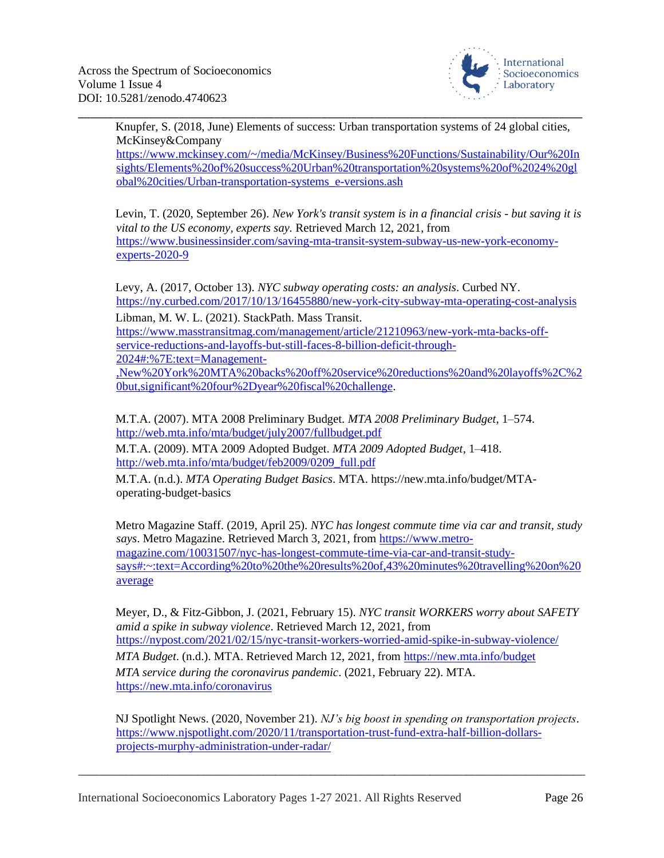

Knupfer, S. (2018, June) Elements of success: Urban transportation systems of 24 global cities, McKinsey&Company

\_\_\_\_\_\_\_\_\_\_\_\_\_\_\_\_\_\_\_\_\_\_\_\_\_\_\_\_\_\_\_\_\_\_\_\_\_\_\_\_\_\_\_\_\_\_\_\_\_\_\_\_\_\_\_\_\_\_\_\_\_\_\_\_\_\_\_\_\_\_\_\_\_\_\_\_\_\_\_\_\_\_\_\_\_

[https://www.mckinsey.com/~/media/McKinsey/Business%20Functions/Sustainability/Our%20In](https://www.mckinsey.com/~/media/McKinsey/Business%20Functions/Sustainability/Our%20Insights/Elements%20of%20success%20Urban%20transportation%20systems%20of%2024%20global%20cities/Urban-transportation-systems_e-versions.ash) [sights/Elements%20of%20success%20Urban%20transportation%20systems%20of%2024%20gl](https://www.mckinsey.com/~/media/McKinsey/Business%20Functions/Sustainability/Our%20Insights/Elements%20of%20success%20Urban%20transportation%20systems%20of%2024%20global%20cities/Urban-transportation-systems_e-versions.ash) [obal%20cities/Urban-transportation-systems\\_e-versions.ash](https://www.mckinsey.com/~/media/McKinsey/Business%20Functions/Sustainability/Our%20Insights/Elements%20of%20success%20Urban%20transportation%20systems%20of%2024%20global%20cities/Urban-transportation-systems_e-versions.ash)

Levin, T. (2020, September 26). *New York's transit system is in a financial crisis - but saving it is vital to the US economy, experts say.* Retrieved March 12, 2021, from [https://www.businessinsider.com/saving-mta-transit-system-subway-us-new-york-economy](https://www.businessinsider.com/saving-mta-transit-system-subway-us-new-york-economy-experts-2020-9)[experts-2020-9](https://www.businessinsider.com/saving-mta-transit-system-subway-us-new-york-economy-experts-2020-9)

Levy, A. (2017, October 13). *NYC subway operating costs: an analysis*. Curbed NY. <https://ny.curbed.com/2017/10/13/16455880/new-york-city-subway-mta-operating-cost-analysis> Libman, M. W. L. (2021). StackPath. Mass Transit.

[https://www.masstransitmag.com/management/article/21210963/new-york-mta-backs-off](https://www.masstransitmag.com/management/article/21210963/new-york-mta-backs-off-service-reductions-and-layoffs-but-still-faces-8-billion-deficit-through-2024#:%7E:text=Management-,New%20York%20MTA%20backs%20off%20service%20reductions%20and%20layoffs%2C%20but,significant%20four%2Dyear%20fiscal%20challenge)[service-reductions-and-layoffs-but-still-faces-8-billion-deficit-through-](https://www.masstransitmag.com/management/article/21210963/new-york-mta-backs-off-service-reductions-and-layoffs-but-still-faces-8-billion-deficit-through-2024#:%7E:text=Management-,New%20York%20MTA%20backs%20off%20service%20reductions%20and%20layoffs%2C%20but,significant%20four%2Dyear%20fiscal%20challenge)[2024#:%7E:text=Management-](https://www.masstransitmag.com/management/article/21210963/new-york-mta-backs-off-service-reductions-and-layoffs-but-still-faces-8-billion-deficit-through-2024#:%7E:text=Management-,New%20York%20MTA%20backs%20off%20service%20reductions%20and%20layoffs%2C%20but,significant%20four%2Dyear%20fiscal%20challenge)

[,New%20York%20MTA%20backs%20off%20service%20reductions%20and%20layoffs%2C%2](https://www.masstransitmag.com/management/article/21210963/new-york-mta-backs-off-service-reductions-and-layoffs-but-still-faces-8-billion-deficit-through-2024#:%7E:text=Management-,New%20York%20MTA%20backs%20off%20service%20reductions%20and%20layoffs%2C%20but,significant%20four%2Dyear%20fiscal%20challenge) [0but,significant%20four%2Dyear%20fiscal%20challenge.](https://www.masstransitmag.com/management/article/21210963/new-york-mta-backs-off-service-reductions-and-layoffs-but-still-faces-8-billion-deficit-through-2024#:%7E:text=Management-,New%20York%20MTA%20backs%20off%20service%20reductions%20and%20layoffs%2C%20but,significant%20four%2Dyear%20fiscal%20challenge)

M.T.A. (2007). MTA 2008 Preliminary Budget. *MTA 2008 Preliminary Budget*, 1–574. <http://web.mta.info/mta/budget/july2007/fullbudget.pdf>

M.T.A. (2009). MTA 2009 Adopted Budget. *MTA 2009 Adopted Budget*, 1–418. [http://web.mta.info/mta/budget/feb2009/0209\\_full.pdf](http://web.mta.info/mta/budget/feb2009/0209_full.pdf)

M.T.A. (n.d.). *MTA Operating Budget Basics*. MTA. https://new.mta.info/budget/MTAoperating-budget-basics

Metro Magazine Staff. (2019, April 25). *NYC has longest commute time via car and transit, study says*. Metro Magazine. Retrieved March 3, 2021, from [https://www.metro](https://www.metro-magazine.com/10031507/nyc-has-longest-commute-time-via-car-and-transit-study-says#:~:text=According%20to%20the%20results%20of,43%20minutes%20travelling%20on%20average)[magazine.com/10031507/nyc-has-longest-commute-time-via-car-and-transit-study](https://www.metro-magazine.com/10031507/nyc-has-longest-commute-time-via-car-and-transit-study-says#:~:text=According%20to%20the%20results%20of,43%20minutes%20travelling%20on%20average)[says#:~:text=According%20to%20the%20results%20of,43%20minutes%20travelling%20on%20](https://www.metro-magazine.com/10031507/nyc-has-longest-commute-time-via-car-and-transit-study-says#:~:text=According%20to%20the%20results%20of,43%20minutes%20travelling%20on%20average) [average](https://www.metro-magazine.com/10031507/nyc-has-longest-commute-time-via-car-and-transit-study-says#:~:text=According%20to%20the%20results%20of,43%20minutes%20travelling%20on%20average) 

Meyer, D., & Fitz-Gibbon, J. (2021, February 15). *NYC transit WORKERS worry about SAFETY amid a spike in subway violence*. Retrieved March 12, 2021, from <https://nypost.com/2021/02/15/nyc-transit-workers-worried-amid-spike-in-subway-violence/> *MTA Budget*. (n.d.). MTA. Retrieved March 12, 2021, from<https://new.mta.info/budget> *MTA service during the coronavirus pandemic*. (2021, February 22). MTA. <https://new.mta.info/coronavirus>

NJ Spotlight News. (2020, November 21). *NJ's big boost in spending on transportation projects*. [https://www.njspotlight.com/2020/11/transportation-trust-fund-extra-half-billion-dollars](https://www.njspotlight.com/2020/11/transportation-trust-fund-extra-half-billion-dollars-projects-murphy-administration-under-radar/)[projects-murphy-administration-under-radar/](https://www.njspotlight.com/2020/11/transportation-trust-fund-extra-half-billion-dollars-projects-murphy-administration-under-radar/)